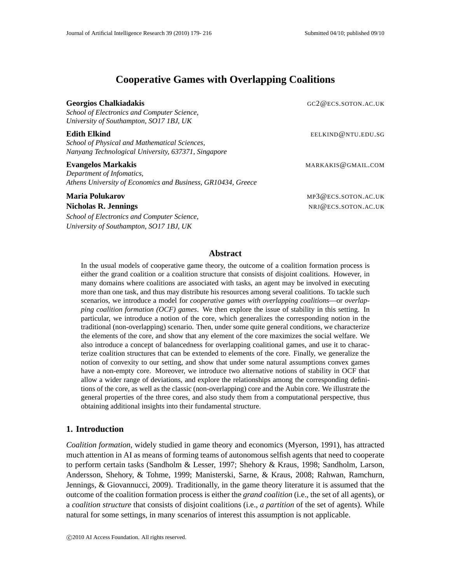# **Cooperative Games with Overlapping Coalitions**

| <b>Georgios Chalkiadakis</b><br>School of Electronics and Computer Science,<br>University of Southampton, SO17 1BJ, UK                          | GC2@ECS.SOTON.AC.UK                        |
|-------------------------------------------------------------------------------------------------------------------------------------------------|--------------------------------------------|
| Edith Elkind<br>School of Physical and Mathematical Sciences,<br>Nanyang Technological University, 637371, Singapore                            | EELKIND@NTU.EDU.SG                         |
| <b>Evangelos Markakis</b><br>Department of Infomatics,<br>Athens University of Economics and Business, GR10434, Greece                          | MARKAKIS@GMAIL.COM                         |
| <b>Maria Polukarov</b><br><b>Nicholas R. Jennings</b><br>School of Electronics and Computer Science,<br>University of Southampton, SO17 1BJ, UK | MP3@ECS.SOTON.AC.UK<br>NRJ@ECS.SOTON.AC.UK |

# **Abstract**

In the usual models of cooperative game theory, the outcome of a coalition formation process is either the grand coalition or a coalition structure that consists of disjoint coalitions. However, in many domains where coalitions are associated with tasks, an agent may be involved in executing more than one task, and thus may distribute his resources among several coalitions. To tackle such scenarios, we introduce a model for *cooperative games with overlapping coalitions*—or *overlapping coalition formation (OCF) games*. We then explore the issue of stability in this setting. In particular, we introduce a notion of the core, which generalizes the corresponding notion in the traditional (non-overlapping) scenario. Then, under some quite general conditions, we characterize the elements of the core, and show that any element of the core maximizes the social welfare. We also introduce a concept of balancedness for overlapping coalitional games, and use it to characterize coalition structures that can be extended to elements of the core. Finally, we generalize the notion of convexity to our setting, and show that under some natural assumptions convex games have a non-empty core. Moreover, we introduce two alternative notions of stability in OCF that allow a wider range of deviations, and explore the relationships among the corresponding definitions of the core, as well as the classic (non-overlapping) core and the Aubin core. We illustrate the general properties of the three cores, and also study them from a computational perspective, thus obtaining additional insights into their fundamental structure.

# **1. Introduction**

*Coalition formation*, widely studied in game theory and economics (Myerson, 1991), has attracted much attention in AI as means of forming teams of autonomous selfish agents that need to cooperate to perform certain tasks (Sandholm & Lesser, 1997; Shehory & Kraus, 1998; Sandholm, Larson, Andersson, Shehory, & Tohme, 1999; Manisterski, Sarne, & Kraus, 2008; Rahwan, Ramchurn, Jennings, & Giovannucci, 2009). Traditionally, in the game theory literature it is assumed that the outcome of the coalition formation process is either the *grand coalition* (i.e., the set of all agents), or a *coalition structure* that consists of disjoint coalitions (i.e., *a partition* of the set of agents). While natural for some settings, in many scenarios of interest this assumption is not applicable.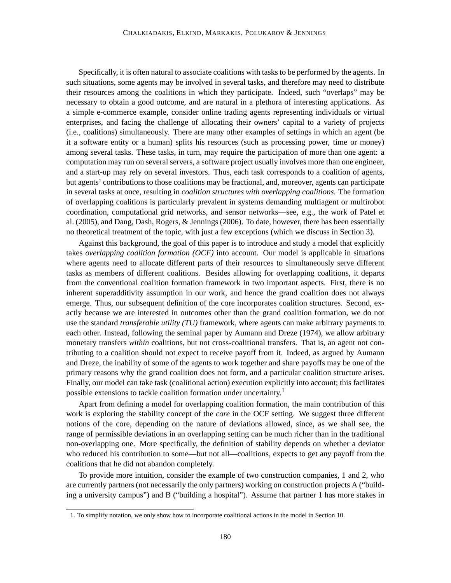Specifically, it is often natural to associate coalitions with tasks to be performed by the agents. In such situations, some agents may be involved in several tasks, and therefore may need to distribute their resources among the coalitions in which they participate. Indeed, such "overlaps" may be necessary to obtain a good outcome, and are natural in a plethora of interesting applications. As a simple e-commerce example, consider online trading agents representing individuals or virtual enterprises, and facing the challenge of allocating their owners' capital to a variety of projects (i.e., coalitions) simultaneously. There are many other examples of settings in which an agent (be it a software entity or a human) splits his resources (such as processing power, time or money) among several tasks. These tasks, in turn, may require the participation of more than one agent: a computation may run on several servers, a software project usually involves more than one engineer, and a start-up may rely on several investors. Thus, each task corresponds to a coalition of agents, but agents' contributions to those coalitions may be fractional, and, moreover, agents can participate in several tasks at once, resulting in *coalition structures with overlapping coalitions*. The formation of overlapping coalitions is particularly prevalent in systems demanding multiagent or multirobot coordination, computational grid networks, and sensor networks—see, e.g., the work of Patel et al. (2005), and Dang, Dash, Rogers, & Jennings (2006). To date, however, there has been essentially no theoretical treatment of the topic, with just a few exceptions (which we discuss in Section 3).

Against this background, the goal of this paper is to introduce and study a model that explicitly takes *overlapping coalition formation (OCF)* into account. Our model is applicable in situations where agents need to allocate different parts of their resources to simultaneously serve different tasks as members of different coalitions. Besides allowing for overlapping coalitions, it departs from the conventional coalition formation framework in two important aspects. First, there is no inherent superadditivity assumption in our work, and hence the grand coalition does not always emerge. Thus, our subsequent definition of the core incorporates coalition structures. Second, exactly because we are interested in outcomes other than the grand coalition formation, we do not use the standard *transferable utility (TU)* framework, where agents can make arbitrary payments to each other. Instead, following the seminal paper by Aumann and Dreze (1974), we allow arbitrary monetary transfers *within* coalitions, but not cross-coalitional transfers. That is, an agent not contributing to a coalition should not expect to receive payoff from it. Indeed, as argued by Aumann and Dreze, the inability of some of the agents to work together and share payoffs may be one of the primary reasons why the grand coalition does not form, and a particular coalition structure arises. Finally, our model can take task (coalitional action) execution explicitly into account; this facilitates possible extensions to tackle coalition formation under uncertainty.<sup>1</sup>

Apart from defining a model for overlapping coalition formation, the main contribution of this work is exploring the stability concept of the *core* in the OCF setting. We suggest three different notions of the core, depending on the nature of deviations allowed, since, as we shall see, the range of permissible deviations in an overlapping setting can be much richer than in the traditional non-overlapping one. More specifically, the definition of stability depends on whether a deviator who reduced his contribution to some—but not all—coalitions, expects to get any payoff from the coalitions that he did not abandon completely.

To provide more intuition, consider the example of two construction companies, 1 and 2, who are currently partners (not necessarily the only partners) working on construction projects A ("building a university campus") and B ("building a hospital"). Assume that partner 1 has more stakes in

<sup>1.</sup> To simplify notation, we only show how to incorporate coalitional actions in the model in Section 10.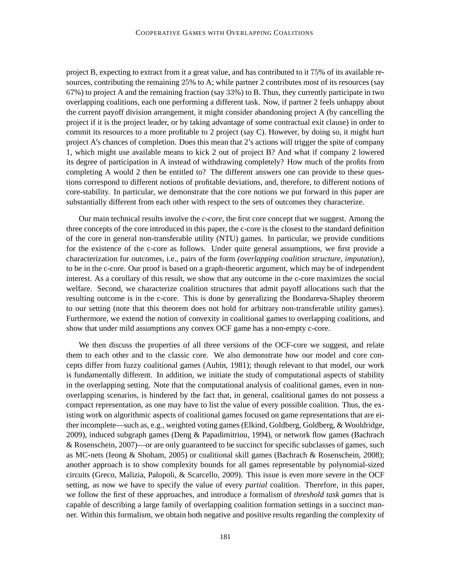project B, expecting to extract from it a great value, and has contributed to it 75% of its available resources, contributing the remaining 25% to A; while partner 2 contributes most of its resources (say 67%) to project A and the remaining fraction (say 33%) to B. Thus, they currently participate in two overlapping coalitions, each one performing a different task. Now, if partner 2 feels unhappy about the current payoff division arrangement, it might consider abandoning project A (by cancelling the project if it is the project leader, or by taking advantage of some contractual exit clause) in order to commit its resources to a more profitable to 2 project (say C). However, by doing so, it might hurt project A's chances of completion. Does this mean that 2's actions will trigger the spite of company 1, which might use available means to kick 2 out of project B? And what if company 2 lowered its degree of participation in A instead of withdrawing completely? How much of the profits from completing A would 2 then be entitled to? The different answers one can provide to these questions correspond to different notions of profitable deviations, and, therefore, to different notions of core-stability. In particular, we demonstrate that the core notions we put forward in this paper are substantially different from each other with respect to the sets of outcomes they characterize.

Our main technical results involve the *c-core*, the first core concept that we suggest. Among the three concepts of the core introduced in this paper, the c-core is the closest to the standard definition of the core in general non-transferable utility (NTU) games. In particular, we provide conditions for the existence of the c-core as follows. Under quite general assumptions, we first provide a characterization for outcomes, i.e., pairs of the form *(overlapping coalition structure, imputation)*, to be in the c-core. Our proof is based on a graph-theoretic argument, which may be of independent interest. As a corollary of this result, we show that any outcome in the c-core maximizes the social welfare. Second, we characterize coalition structures that admit payoff allocations such that the resulting outcome is in the c-core. This is done by generalizing the Bondareva-Shapley theorem to our setting (note that this theorem does not hold for arbitrary non-transferable utility games). Furthermore, we extend the notion of convexity in coalitional games to overlapping coalitions, and show that under mild assumptions any convex OCF game has a non-empty c-core.

We then discuss the properties of all three versions of the OCF-core we suggest, and relate them to each other and to the classic core. We also demonstrate how our model and core concepts differ from fuzzy coalitional games (Aubin, 1981); though relevant to that model, our work is fundamentally different. In addition, we initiate the study of computational aspects of stability in the overlapping setting. Note that the computational analysis of coalitional games, even in nonoverlapping scenarios, is hindered by the fact that, in general, coalitional games do not possess a compact representation, as one may have to list the value of every possible coalition. Thus, the existing work on algorithmic aspects of coalitional games focused on game representations that are either incomplete—such as, e.g., weighted voting games (Elkind, Goldberg, Goldberg, & Wooldridge, 2009), induced subgraph games (Deng & Papadimitriou, 1994), or network flow games (Bachrach & Rosenschein, 2007)—or are only guaranteed to be succinct for specific subclasses of games, such as MC-nets (Ieong & Shoham, 2005) or coalitional skill games (Bachrach & Rosenschein, 2008); another approach is to show complexity bounds for all games representable by polynomial-sized circuits (Greco, Malizia, Palopoli, & Scarcello, 2009). This issue is even more severe in the OCF setting, as now we have to specify the value of every *partial* coalition. Therefore, in this paper, we follow the first of these approaches, and introduce a formalism of *threshold task games* that is capable of describing a large family of overlapping coalition formation settings in a succinct manner. Within this formalism, we obtain both negative and positive results regarding the complexity of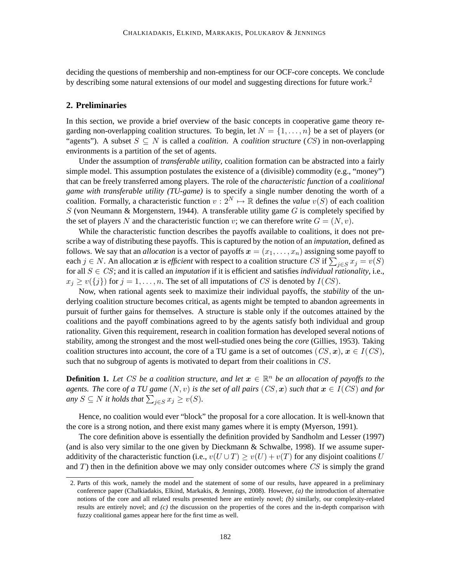deciding the questions of membership and non-emptiness for our OCF-core concepts. We conclude by describing some natural extensions of our model and suggesting directions for future work.<sup>2</sup>

# **2. Preliminaries**

In this section, we provide a brief overview of the basic concepts in cooperative game theory regarding non-overlapping coalition structures. To begin, let  $N = \{1, \ldots, n\}$  be a set of players (or "agents"). A subset  $S \subseteq N$  is called a *coalition*. A *coalition structure* (CS) in non-overlapping environments is a partition of the set of agents.

Under the assumption of *transferable utility*, coalition formation can be abstracted into a fairly simple model. This assumption postulates the existence of a (divisible) commodity (e.g., "money") that can be freely transferred among players. The role of the *characteristic function* of a *coalitional game with transferable utility (TU-game)* is to specify a single number denoting the worth of a coalition. Formally, a characteristic function  $v : 2^N \mapsto \mathbb{R}$  defines the *value*  $v(S)$  of each coalition S (von Neumann & Morgenstern, 1944). A transferable utility game G is completely specified by the set of players N and the characteristic function v; we can therefore write  $G = (N, v)$ .

While the characteristic function describes the payoffs available to coalitions, it does not prescribe a way of distributing these payoffs. This is captured by the notion of an *imputation*, defined as follows. We say that an *allocation* is a vector of payoffs  $x = (x_1, \ldots, x_n)$  assigning some payoff to each  $j \in N$ . An allocation x is *efficient* with respect to a coalition structure CS if  $\sum_{j \in S} x_j = v(S)$ for all S ∈ CS; and it is called an *imputation* if it is efficient and satisfies *individual rationality*, i.e.,  $x_j \ge v({j})$  for  $j = 1, \ldots, n$ . The set of all imputations of CS is denoted by  $I(CS)$ .

Now, when rational agents seek to maximize their individual payoffs, the *stability* of the underlying coalition structure becomes critical, as agents might be tempted to abandon agreements in pursuit of further gains for themselves. A structure is stable only if the outcomes attained by the coalitions and the payoff combinations agreed to by the agents satisfy both individual and group rationality. Given this requirement, research in coalition formation has developed several notions of stability, among the strongest and the most well-studied ones being the *core* (Gillies, 1953). Taking coalition structures into account, the core of a TU game is a set of outcomes ( $CS, \mathbf{x}$ ),  $\mathbf{x} \in I(CS)$ , such that no subgroup of agents is motivated to depart from their coalitions in CS.

**Definition 1.** Let CS be a coalition structure, and let  $x \in \mathbb{R}^n$  be an allocation of payoffs to the *agents. The* core *of a TU game*  $(N, v)$  *is the set of all pairs*  $(CS, x)$  *such that*  $x \in I(CS)$  *and for* any  $S \subseteq N$  it holds that  $\sum_{j \in S} x_j \geq v(S)$ .

Hence, no coalition would ever "block" the proposal for a core allocation. It is well-known that the core is a strong notion, and there exist many games where it is empty (Myerson, 1991).

The core definition above is essentially the definition provided by Sandholm and Lesser (1997) (and is also very similar to the one given by Dieckmann  $\&$  Schwalbe, 1998). If we assume superadditivity of the characteristic function (i.e.,  $v(U \cup T) \ge v(U) + v(T)$  for any disjoint coalitions U and  $T$ ) then in the definition above we may only consider outcomes where  $CS$  is simply the grand

<sup>2.</sup> Parts of this work, namely the model and the statement of some of our results, have appeared in a preliminary conference paper (Chalkiadakis, Elkind, Markakis, & Jennings, 2008). However, *(a)* the introduction of alternative notions of the core and all related results presented here are entirely novel; *(b)* similarly, our complexity-related results are entirely novel; and *(c)* the discussion on the properties of the cores and the in-depth comparison with fuzzy coalitional games appear here for the first time as well.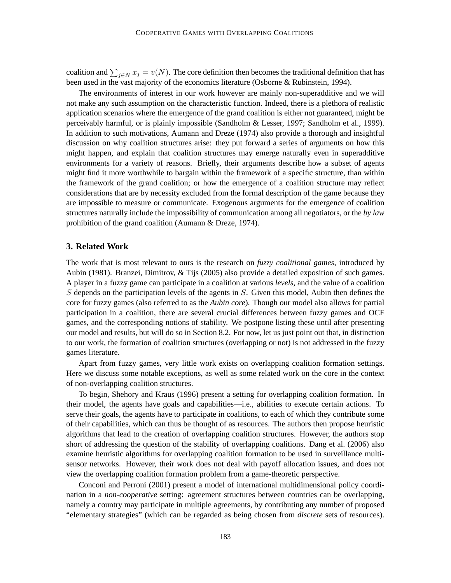coalition and  $\sum_{j\in N} x_j = v(N)$ . The core definition then becomes the traditional definition that has been used in the vast majority of the economics literature (Osborne & Rubinstein, 1994).

The environments of interest in our work however are mainly non-superadditive and we will not make any such assumption on the characteristic function. Indeed, there is a plethora of realistic application scenarios where the emergence of the grand coalition is either not guaranteed, might be perceivably harmful, or is plainly impossible (Sandholm & Lesser, 1997; Sandholm et al., 1999). In addition to such motivations, Aumann and Dreze (1974) also provide a thorough and insightful discussion on why coalition structures arise: they put forward a series of arguments on how this might happen, and explain that coalition structures may emerge naturally even in superadditive environments for a variety of reasons. Briefly, their arguments describe how a subset of agents might find it more worthwhile to bargain within the framework of a specific structure, than within the framework of the grand coalition; or how the emergence of a coalition structure may reflect considerations that are by necessity excluded from the formal description of the game because they are impossible to measure or communicate. Exogenous arguments for the emergence of coalition structures naturally include the impossibility of communication among all negotiators, or the *by law* prohibition of the grand coalition (Aumann & Dreze, 1974).

# **3. Related Work**

The work that is most relevant to ours is the research on *fuzzy coalitional games*, introduced by Aubin (1981). Branzei, Dimitrov, & Tijs (2005) also provide a detailed exposition of such games. A player in a fuzzy game can participate in a coalition at various *levels*, and the value of a coalition S depends on the participation levels of the agents in  $S$ . Given this model, Aubin then defines the core for fuzzy games (also referred to as the *Aubin core*). Though our model also allows for partial participation in a coalition, there are several crucial differences between fuzzy games and OCF games, and the corresponding notions of stability. We postpone listing these until after presenting our model and results, but will do so in Section 8.2. For now, let us just point out that, in distinction to our work, the formation of coalition structures (overlapping or not) is not addressed in the fuzzy games literature.

Apart from fuzzy games, very little work exists on overlapping coalition formation settings. Here we discuss some notable exceptions, as well as some related work on the core in the context of non-overlapping coalition structures.

To begin, Shehory and Kraus (1996) present a setting for overlapping coalition formation. In their model, the agents have goals and capabilities—i.e., abilities to execute certain actions. To serve their goals, the agents have to participate in coalitions, to each of which they contribute some of their capabilities, which can thus be thought of as resources. The authors then propose heuristic algorithms that lead to the creation of overlapping coalition structures. However, the authors stop short of addressing the question of the stability of overlapping coalitions. Dang et al. (2006) also examine heuristic algorithms for overlapping coalition formation to be used in surveillance multisensor networks. However, their work does not deal with payoff allocation issues, and does not view the overlapping coalition formation problem from a game-theoretic perspective.

Conconi and Perroni (2001) present a model of international multidimensional policy coordination in a *non-cooperative* setting: agreement structures between countries can be overlapping, namely a country may participate in multiple agreements, by contributing any number of proposed "elementary strategies" (which can be regarded as being chosen from *discrete* sets of resources).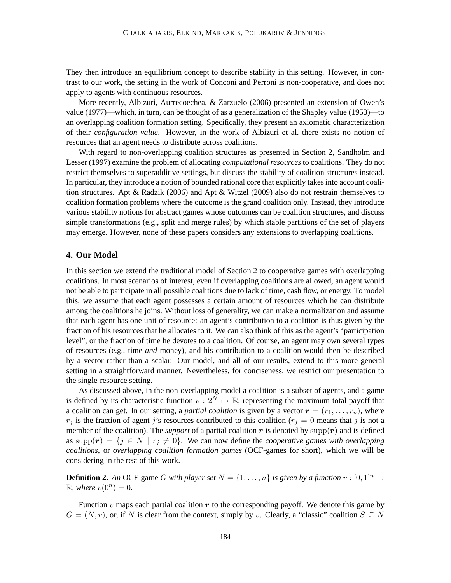They then introduce an equilibrium concept to describe stability in this setting. However, in contrast to our work, the setting in the work of Conconi and Perroni is non-cooperative, and does not apply to agents with continuous resources.

More recently, Albizuri, Aurrecoechea, & Zarzuelo (2006) presented an extension of Owen's value (1977)—which, in turn, can be thought of as a generalization of the Shapley value (1953)—to an overlapping coalition formation setting. Specifically, they present an axiomatic characterization of their *configuration value*. However, in the work of Albizuri et al. there exists no notion of resources that an agent needs to distribute across coalitions.

With regard to non-overlapping coalition structures as presented in Section 2, Sandholm and Lesser (1997) examine the problem of allocating *computational resources* to coalitions. They do not restrict themselves to superadditive settings, but discuss the stability of coalition structures instead. In particular, they introduce a notion of bounded rational core that explicitly takes into account coalition structures. Apt & Radzik (2006) and Apt & Witzel (2009) also do not restrain themselves to coalition formation problems where the outcome is the grand coalition only. Instead, they introduce various stability notions for abstract games whose outcomes can be coalition structures, and discuss simple transformations (e.g., split and merge rules) by which stable partitions of the set of players may emerge. However, none of these papers considers any extensions to overlapping coalitions.

# **4. Our Model**

In this section we extend the traditional model of Section 2 to cooperative games with overlapping coalitions. In most scenarios of interest, even if overlapping coalitions are allowed, an agent would not be able to participate in all possible coalitions due to lack of time, cash flow, or energy. To model this, we assume that each agent possesses a certain amount of resources which he can distribute among the coalitions he joins. Without loss of generality, we can make a normalization and assume that each agent has one unit of resource: an agent's contribution to a coalition is thus given by the fraction of his resources that he allocates to it. We can also think of this as the agent's "participation level", or the fraction of time he devotes to a coalition. Of course, an agent may own several types of resources (e.g., time *and* money), and his contribution to a coalition would then be described by a vector rather than a scalar. Our model, and all of our results, extend to this more general setting in a straightforward manner. Nevertheless, for conciseness, we restrict our presentation to the single-resource setting.

As discussed above, in the non-overlapping model a coalition is a subset of agents, and a game is defined by its characteristic function  $v : 2^{\overline{N}} \mapsto \mathbb{R}$ , representing the maximum total payoff that a coalition can get. In our setting, a *partial coalition* is given by a vector  $\mathbf{r} = (r_1, \ldots, r_n)$ , where  $r_j$  is the fraction of agent j's resources contributed to this coalition ( $r_j = 0$  means that j is not a member of the coalition). The *support* of a partial coalition  $r$  is denoted by  $\text{supp}(r)$  and is defined as supp $(r) = \{j \in N \mid r_j \neq 0\}$ . We can now define the *cooperative games with overlapping coalitions*, or *overlapping coalition formation games* (OCF-games for short), which we will be considering in the rest of this work.

**Definition 2.** An OCF-game G with player set  $N = \{1, \ldots, n\}$  is given by a function  $v : [0, 1]^n \rightarrow$  $\mathbb{R}, \text{ where } v(0^n) = 0.$ 

Function  $v$  maps each partial coalition  $r$  to the corresponding payoff. We denote this game by  $G = (N, v)$ , or, if N is clear from the context, simply by v. Clearly, a "classic" coalition  $S \subseteq N$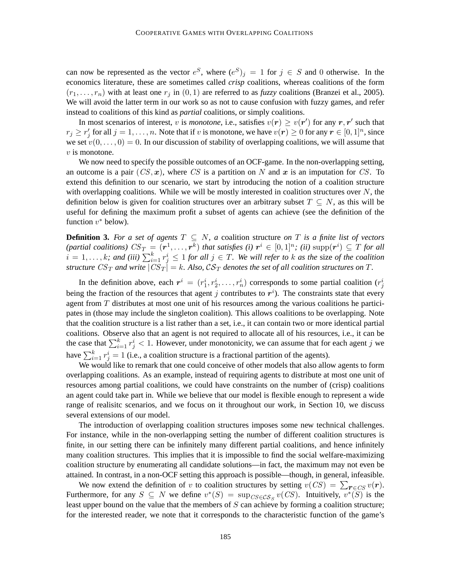can now be represented as the vector  $e^S$ , where  $(e^S)_j = 1$  for  $j \in S$  and 0 otherwise. In the economics literature, these are sometimes called *crisp* coalitions, whereas coalitions of the form  $(r_1, \ldots, r_n)$  with at least one  $r_j$  in  $(0, 1)$  are referred to as *fuzzy* coalitions (Branzei et al., 2005). We will avoid the latter term in our work so as not to cause confusion with fuzzy games, and refer instead to coalitions of this kind as *partial* coalitions, or simply coalitions.

In most scenarios of interest, v is *monotone*, i.e., satisfies  $v(r) \ge v(r')$  for any  $r, r'$  such that  $r_j \ge r'_j$  for all  $j = 1, \ldots, n$ . Note that if v is monotone, we have  $v(r) \ge 0$  for any  $r \in [0, 1]^n$ , since we set  $v(0, \ldots, 0) = 0$ . In our discussion of stability of overlapping coalitions, we will assume that  $v$  is monotone.

We now need to specify the possible outcomes of an OCF-game. In the non-overlapping setting, an outcome is a pair  $(CS, x)$ , where CS is a partition on N and x is an imputation for CS. To extend this definition to our scenario, we start by introducing the notion of a coalition structure with overlapping coalitions. While we will be mostly interested in coalition structures over  $N$ , the definition below is given for coalition structures over an arbitrary subset  $T \subseteq N$ , as this will be useful for defining the maximum profit a subset of agents can achieve (see the definition of the function  $v^*$  below).

**Definition 3.** For a set of agents  $T \subseteq N$ , a coalition structure on T is a finite list of vectors (partial coalitions)  $CS_T = (r^1, \ldots, r^k)$  that satisfies (i)  $r^i \in [0, 1]^n$ ; (ii)  $\text{supp}(r^i) \subseteq T$  for all  $i = 1, \ldots, k$ ; and (iii)  $\sum_{i=1}^{k} r_j^i \leq 1$  for all  $j \in T$ . We will refer to k as the size of the coalition *structure*  $CS_T$  and write  $|\overrightarrow{CS_T}| = k$ . Also,  $\mathcal{CS_T}$  denotes the set of all coalition structures on T.

In the definition above, each  $r^i = (r_1^i, r_2^i, \dots, r_n^i)$  corresponds to some partial coalition  $(r_j^i)$ being the fraction of the resources that agent j contributes to  $r<sup>i</sup>$ ). The constraints state that every agent from  $T$  distributes at most one unit of his resources among the various coalitions he participates in (those may include the singleton coalition). This allows coalitions to be overlapping. Note that the coalition structure is a list rather than a set, i.e., it can contain two or more identical partial coalitions. Observe also that an agent is not required to allocate all of his resources, i.e., it can be the case that  $\sum_{i=1}^{k} r_j^i < 1$ . However, under monotonicity, we can assume that for each agent j we have  $\sum_{i=1}^{k} r_j^i = 1$  (i.e., a coalition structure is a fractional partition of the agents).

We would like to remark that one could conceive of other models that also allow agents to form overlapping coalitions. As an example, instead of requiring agents to distribute at most one unit of resources among partial coalitions, we could have constraints on the number of (crisp) coalitions an agent could take part in. While we believe that our model is flexible enough to represent a wide range of realisitc scenarios, and we focus on it throughout our work, in Section 10, we discuss several extensions of our model.

The introduction of overlapping coalition structures imposes some new technical challenges. For instance, while in the non-overlapping setting the number of different coalition structures is finite, in our setting there can be infinitely many different partial coalitions, and hence infinitely many coalition structures. This implies that it is impossible to find the social welfare-maximizing coalition structure by enumerating all candidate solutions—in fact, the maximum may not even be attained. In contrast, in a non-OCF setting this approach is possible—though, in general, infeasible.

We now extend the definition of v to coalition structures by setting  $v(CS) = \sum_{\mathbf{r} \in CS} v(\mathbf{r}).$ Furthermore, for any  $S \subseteq N$  we define  $v^*(S) = \sup_{CS \in \mathcal{CS}_S} v(CS)$ . Intuitively,  $v^*(S)$  is the least upper bound on the value that the members of  $S$  can achieve by forming a coalition structure; for the interested reader, we note that it corresponds to the characteristic function of the game's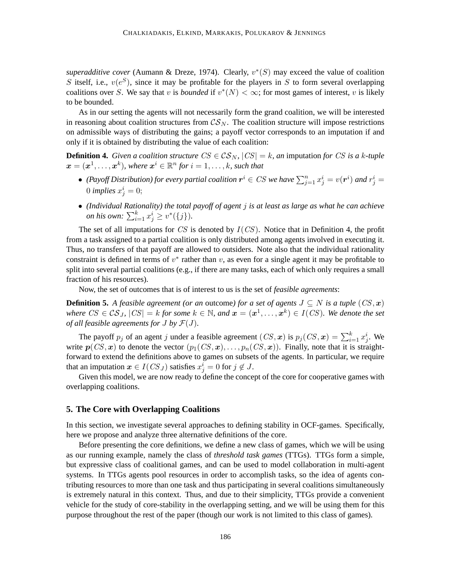superadditive cover (Aumann & Dreze, 1974). Clearly,  $v^*(S)$  may exceed the value of coalition S itself, i.e.,  $v(e^S)$ , since it may be profitable for the players in S to form several overlapping coalitions over S. We say that v is *bounded* if  $v^*(N) < \infty$ ; for most games of interest, v is likely to be bounded.

As in our setting the agents will not necessarily form the grand coalition, we will be interested in reasoning about coalition structures from  $\mathcal{CS}_N$ . The coalition structure will impose restrictions on admissible ways of distributing the gains; a payoff vector corresponds to an imputation if and only if it is obtained by distributing the value of each coalition:

**Definition 4.** *Given a coalition structure*  $CS \in \mathcal{CS}_N$ ,  $|CS| = k$ , *an* imputation *for* CS *is a* k-tuple  $\boldsymbol{x} = (\boldsymbol{x}^1, \dots, \boldsymbol{x}^k)$ , where  $\boldsymbol{x}^i \in \mathbb{R}^n$  for  $i = 1, \dots, k$ , such that

- (Payoff Distribution) for every partial coalition  $r^i \in CS$  we have  $\sum_{j=1}^n x^i_j = v(r^i)$  and  $r^i_j = v(r^i)$ 0 *implies*  $x_j^i = 0$ ;
- *(Individual Rationality) the total payoff of agent* j *is at least as large as what he can achieve on his own:*  $\sum_{i=1}^{k} x_j^i \geq v^*(\{j\}).$

The set of all imputations for  $CS$  is denoted by  $I(CS)$ . Notice that in Definition 4, the profit from a task assigned to a partial coalition is only distributed among agents involved in executing it. Thus, no transfers of that payoff are allowed to outsiders. Note also that the individual rationality constraint is defined in terms of  $v^*$  rather than  $v$ , as even for a single agent it may be profitable to split into several partial coalitions (e.g., if there are many tasks, each of which only requires a small fraction of his resources).

Now, the set of outcomes that is of interest to us is the set of *feasible agreements*:

**Definition 5.** *A feasible agreement (or an* outcome*) for a set of agents*  $J \subseteq N$  *is a tuple*  $(CS, x)$ *where*  $CS \in \mathcal{CS}_J$ ,  $|CS| = k$  *for some*  $k \in \mathbb{N}$ , and  $\boldsymbol{x} = (\boldsymbol{x}^1, \dots, \boldsymbol{x}^k) \in I(CS)$ . We denote the set *of all feasible agreements for*  $J$  *by*  $\mathcal{F}(J)$ *.* 

The payoff  $p_j$  of an agent j under a feasible agreement  $(CS, x)$  is  $p_j(CS, x) = \sum_{i=1}^{k} x_j^i$ . We write  $p(CS, x)$  to denote the vector  $(p_1(CS, x), \ldots, p_n(CS, x))$ . Finally, note that it is straightforward to extend the definitions above to games on subsets of the agents. In particular, we require that an imputation  $\boldsymbol{x} \in I(CS_J)$  satisfies  $x_j^i = 0$  for  $j \notin J$ .

Given this model, we are now ready to define the concept of the core for cooperative games with overlapping coalitions.

## **5. The Core with Overlapping Coalitions**

In this section, we investigate several approaches to defining stability in OCF-games. Specifically, here we propose and analyze three alternative definitions of the core.

Before presenting the core definitions, we define a new class of games, which we will be using as our running example, namely the class of *threshold task games* (TTGs). TTGs form a simple, but expressive class of coalitional games, and can be used to model collaboration in multi-agent systems. In TTGs agents pool resources in order to accomplish tasks, so the idea of agents contributing resources to more than one task and thus participating in several coalitions simultaneously is extremely natural in this context. Thus, and due to their simplicity, TTGs provide a convenient vehicle for the study of core-stability in the overlapping setting, and we will be using them for this purpose throughout the rest of the paper (though our work is not limited to this class of games).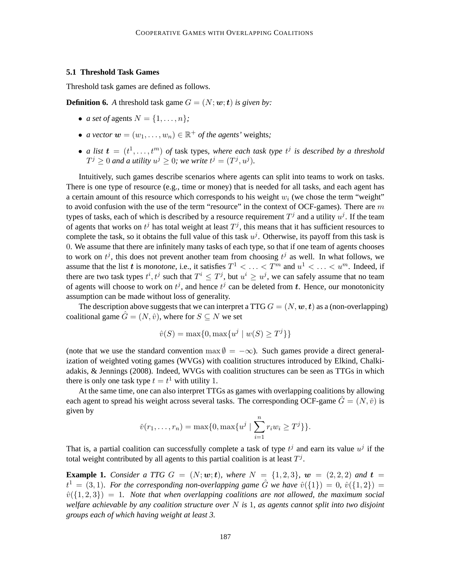# **5.1 Threshold Task Games**

Threshold task games are defined as follows.

**Definition 6.** A threshold task game  $G = (N; \mathbf{w}; t)$  *is given by:* 

- *a set of* agents  $N = \{1, \ldots, n\}$ ;
- *a vector*  $\mathbf{w} = (w_1, \dots, w_n) \in \mathbb{R}^+$  *of the agents'* weights;
- *a list*  $\mathbf{t} = (t^1, \ldots, t^m)$  *of* task types, where each task type  $t^j$  is described by a threshold  $T^j \geq 0$  and a utility  $u^j \geq 0$ ; we write  $t^j = (T^j, u^j)$ .

Intuitively, such games describe scenarios where agents can split into teams to work on tasks. There is one type of resource (e.g., time or money) that is needed for all tasks, and each agent has a certain amount of this resource which corresponds to his weight  $w_i$  (we chose the term "weight" to avoid confusion with the use of the term "resource" in the context of OCF-games). There are  $m$ types of tasks, each of which is described by a resource requirement  $T^j$  and a utility  $u^j$ . If the team of agents that works on  $t^j$  has total weight at least  $T^j$ , this means that it has sufficient resources to complete the task, so it obtains the full value of this task  $u^j$ . Otherwise, its payoff from this task is 0. We assume that there are infinitely many tasks of each type, so that if one team of agents chooses to work on  $t^j$ , this does not prevent another team from choosing  $t^j$  as well. In what follows, we assume that the list t is *monotone*, i.e., it satisfies  $T^1 < \ldots < T^m$  and  $u^1 < \ldots < u^m$ . Indeed, if there are two task types  $t^i, t^j$  such that  $T^i \leq T^j$ , but  $u^i \geq u^j$ , we can safely assume that no team of agents will choose to work on  $t^j$ , and hence  $t^j$  can be deleted from t. Hence, our monotonicity assumption can be made without loss of generality.

The description above suggests that we can interpret a TTG  $G = (N, \omega, t)$  as a (non-overlapping) coalitional game  $\hat{G} = (N, \hat{v})$ , where for  $S \subseteq N$  we set

$$
\hat{v}(S) = \max\{0, \max\{u^j \mid w(S) \ge T^j\}\}\
$$

(note that we use the standard convention max  $\emptyset = -\infty$ ). Such games provide a direct generalization of weighted voting games (WVGs) with coalition structures introduced by Elkind, Chalkiadakis, & Jennings (2008). Indeed, WVGs with coalition structures can be seen as TTGs in which there is only one task type  $t = t^1$  with utility 1.

At the same time, one can also interpret TTGs as games with overlapping coalitions by allowing each agent to spread his weight across several tasks. The corresponding OCF-game  $\check{G} = (N, \check{v})$  is given by

$$
\check{\nu}(r_1,\ldots,r_n) = \max\{0,\max\{u^j \mid \sum_{i=1}^n r_i w_i \geq T^j\}\}.
$$

That is, a partial coalition can successfully complete a task of type  $t^j$  and earn its value  $u^j$  if the total weight contributed by all agents to this partial coalition is at least  $T^j$ .

**Example 1.** *Consider a TTG*  $G = (N; w; t)$ *, where*  $N = \{1, 2, 3\}$ *,*  $w = (2, 2, 2)$  *and*  $t =$  $t^1 = (3, 1)$ . For the corresponding non-overlapping game  $\hat{G}$  we have  $\hat{v}(\{1\}) = 0$ ,  $\hat{v}(\{1, 2\}) = 0$  $\hat{v}(\{1, 2, 3\}) = 1$ . Note that when overlapping coalitions are not allowed, the maximum social *welfare achievable by any coalition structure over* N *is* 1*, as agents cannot split into two disjoint groups each of which having weight at least 3.*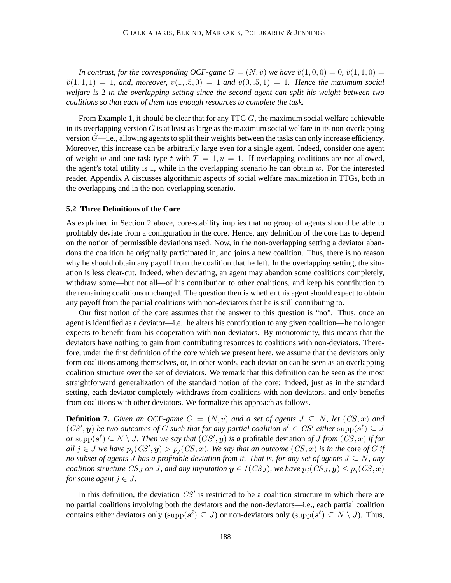*In contrast, for the corresponding OCF-game*  $\check{G} = (N, \check{v})$  *we have*  $\check{v}(1, 0, 0) = 0$ ,  $\check{v}(1, 1, 0) = 0$  $\tilde{v}(1, 1, 1) = 1$ , and, moreover,  $\tilde{v}(1, .5, 0) = 1$  and  $\tilde{v}(0, .5, 1) = 1$ . Hence the maximum social *welfare is* 2 *in the overlapping setting since the second agent can split his weight between two coalitions so that each of them has enough resources to complete the task.*

From Example 1, it should be clear that for any TTG  $G$ , the maximum social welfare achievable in its overlapping version  $\tilde{G}$  is at least as large as the maximum social welfare in its non-overlapping version  $\ddot{G}$ —i.e., allowing agents to split their weights between the tasks can only increase efficiency. Moreover, this increase can be arbitrarily large even for a single agent. Indeed, consider one agent of weight w and one task type t with  $T = 1, u = 1$ . If overlapping coalitions are not allowed, the agent's total utility is 1, while in the overlapping scenario he can obtain  $w$ . For the interested reader, Appendix A discusses algorithmic aspects of social welfare maximization in TTGs, both in the overlapping and in the non-overlapping scenario.

## **5.2 Three Definitions of the Core**

As explained in Section 2 above, core-stability implies that no group of agents should be able to profitably deviate from a configuration in the core. Hence, any definition of the core has to depend on the notion of permissible deviations used. Now, in the non-overlapping setting a deviator abandons the coalition he originally participated in, and joins a new coalition. Thus, there is no reason why he should obtain any payoff from the coalition that he left. In the overlapping setting, the situation is less clear-cut. Indeed, when deviating, an agent may abandon some coalitions completely, withdraw some—but not all—of his contribution to other coalitions, and keep his contribution to the remaining coalitions unchanged. The question then is whether this agent should expect to obtain any payoff from the partial coalitions with non-deviators that he is still contributing to.

Our first notion of the core assumes that the answer to this question is "no". Thus, once an agent is identified as a deviator—i.e., he alters his contribution to any given coalition—he no longer expects to benefit from his cooperation with non-deviators. By monotonicity, this means that the deviators have nothing to gain from contributing resources to coalitions with non-deviators. Therefore, under the first definition of the core which we present here, we assume that the deviators only form coalitions among themselves, or, in other words, each deviation can be seen as an overlapping coalition structure over the set of deviators. We remark that this definition can be seen as the most straightforward generalization of the standard notion of the core: indeed, just as in the standard setting, each deviator completely withdraws from coalitions with non-deviators, and only benefits from coalitions with other deviators. We formalize this approach as follows.

**Definition 7.** *Given an OCF-game*  $G = (N, v)$  *and a set of agents*  $J \subseteq N$ *, let*  $(CS, x)$  *and*  $(CS', \mathbf{y})$  be two outcomes of G such that for any partial coalition  $s^{\ell} \in CS'$  either  $\text{supp}(s^{\ell}) \subseteq J$ *or* supp $(s^{\ell}) \subseteq N \setminus J$ . Then we say that  $(CS', y)$  is a profitable deviation of J from  $(CS, x)$  if for  $all \, j \in J$  we have  $p_j(CS', y) > p_j(CS, x)$ . We say that an outcome  $(CS, x)$  is in the core of G if *no subset of agents* J *has a profitable deviation from it. That is, for any set of agents* J ⊆ N*, any coalition structure*  $CS_J$  *on* J, and any imputation  $y \in I(CS_J)$ , we have  $p_j(CS_J, y) \leq p_j(CS, x)$ *for some agent*  $j \in J$ .

In this definition, the deviation  $CS'$  is restricted to be a coalition structure in which there are no partial coalitions involving both the deviators and the non-deviators—i.e., each partial coalition contains either deviators only (supp $(s^{\ell}) \subseteq J$ ) or non-deviators only (supp $(s^{\ell}) \subseteq N \setminus J$ ). Thus,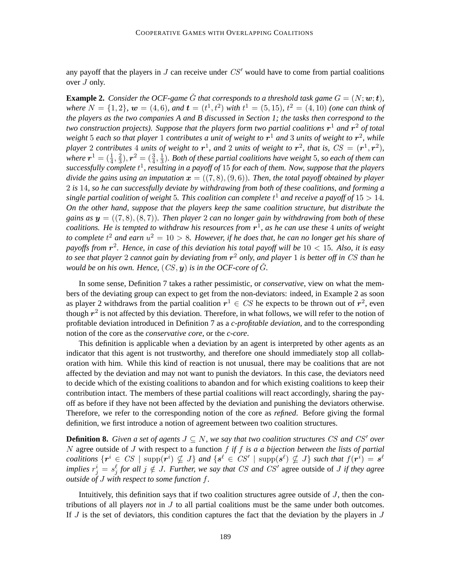any payoff that the players in  $J$  can receive under  $CS'$  would have to come from partial coalitions over J only.

**Example 2.** *Consider the OCF-game*  $\check{G}$  *that corresponds to a threshold task game*  $G = (N; \mathbf{w}; \mathbf{t})$ *, where*  $N = \{1, 2\}$ ,  $w = (4, 6)$ *, and*  $t = (t^1, t^2)$  *with*  $t^1 = (5, 15)$ *,*  $t^2 = (4, 10)$  *(one can think of the players as the two companies A and B discussed in Section 1; the tasks then correspond to the two construction projects). Suppose that the players form two partial coalitions*  $\mathbf{r}^1$  *and*  $\mathbf{r}^2$  *of total weight* 5 *each so that player* 1 *contributes a unit of weight to* r <sup>1</sup> *and* 3 *units of weight to* r 2 *, while* player 2 contributes 4 units of weight to  $r^1$ , and 2 units of weight to  $r^2$ , that is,  $CS = (r^1, r^2)$ , where  $\boldsymbol{r}^1=(\frac{1}{4},\frac{2}{3})$  $(\frac{2}{3}),$   $\bm{r}^2 = (\frac{3}{4}, \frac{1}{3})$ 3 )*. Both of these partial coalitions have weight* 5*, so each of them can successfully complete* t 1 *, resulting in a payoff of* 15 *for each of them. Now, suppose that the players divide the gains using an imputation*  $\mathbf{x} = ((7, 8), (9, 6))$ *. Then, the total payoff obtained by player* 2 *is* 14*, so he can successfully deviate by withdrawing from both of these coalitions, and forming a single partial coalition of weight* 5*. This coalition can complete* t <sup>1</sup> *and receive a payoff of* 15 > 14*. On the other hand, suppose that the players keep the same coalition structure, but distribute the gains as*  $y = ((7, 8), (8, 7))$ *. Then player* 2 *can no longer gain by withdrawing from both of these coalitions. He is tempted to withdraw his resources from* r 1 *, as he can use these* 4 *units of weight* to complete  $t^2$  and earn  $u^2 = 10 > 8$ . However, if he does that, he can no longer get his share of *payoffs from* r 2 *. Hence, in case of this deviation his total payoff will be* 10 < 15*. Also, it is easy to see that player* 2 *cannot gain by deviating from* r <sup>2</sup> *only, and player* 1 *is better off in* CS *than he would be on his own. Hence,*  $(CS, y)$  *is in the OCF-core of*  $\check{G}$ *.* 

In some sense, Definition 7 takes a rather pessimistic, or *conservative*, view on what the members of the deviating group can expect to get from the non-deviators: indeed, in Example 2 as soon as player 2 withdraws from the partial coalition  $r^1 \in CS$  he expects to be thrown out of  $r^2$ , even though  $r^2$  is not affected by this deviation. Therefore, in what follows, we will refer to the notion of profitable deviation introduced in Definition 7 as a *c-profitable deviation*, and to the corresponding notion of the core as the *conservative core*, or the *c-core*.

This definition is applicable when a deviation by an agent is interpreted by other agents as an indicator that this agent is not trustworthy, and therefore one should immediately stop all collaboration with him. While this kind of reaction is not unusual, there may be coalitions that are not affected by the deviation and may not want to punish the deviators. In this case, the deviators need to decide which of the existing coalitions to abandon and for which existing coalitions to keep their contribution intact. The members of these partial coalitions will react accordingly, sharing the payoff as before if they have not been affected by the deviation and punishing the deviators otherwise. Therefore, we refer to the corresponding notion of the core as *refined*. Before giving the formal definition, we first introduce a notion of agreement between two coalition structures.

**Definition 8.** *Given a set of agents*  $J \subseteq N$ , we say that two coalition structures CS and CS' over N agree outside of J with respect to a function f *if* f *is a a bijection between the lists of partial*  $coalitions \{r^i \in CS \mid \text{supp} (r^i) \nsubseteq J\}$  and  $\{s^{\ell} \in CS' \mid \text{supp} (s^{\ell}) \nsubseteq J\}$  such that  $f(r^i) = s^{\ell}$ *implies*  $r_j^i = s_j^{\ell}$  *for all*  $j \notin J$ *. Further, we say that CS and CS'* agree outside of *J if they agree outside of* J *with respect to some function* f*.*

Intuitively, this definition says that if two coalition structures agree outside of  $J$ , then the contributions of all players *not* in J to all partial coalitions must be the same under both outcomes. If  $J$  is the set of deviators, this condition captures the fact that the deviation by the players in  $J$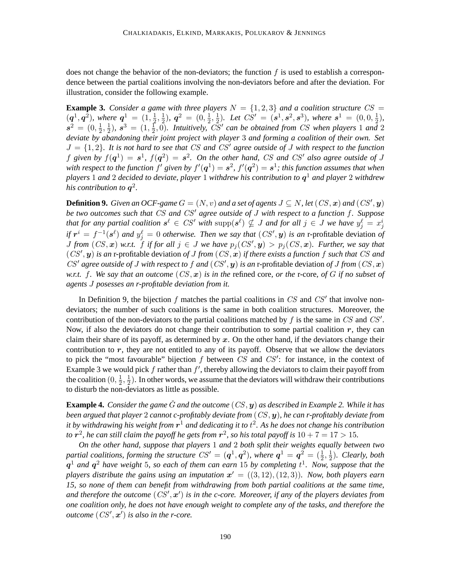does not change the behavior of the non-deviators; the function  $f$  is used to establish a correspondence between the partial coalitions involving the non-deviators before and after the deviation. For illustration, consider the following example.

**Example 3.** *Consider a game with three players*  $N = \{1, 2, 3\}$  *and a coalition structure*  $CS =$  $(q^1, q^2)$ , where  $q^1 = (1, \frac{1}{2})$  $\frac{1}{2}, \frac{1}{2}$  $(\frac{1}{2}), \; \bm{q}^2 \; = \; (0, \frac{1}{2})$  $\frac{1}{2}, \frac{1}{2}$  $\frac{1}{2}$ ). Let  $CS' = (\mathbf{s}^1, \mathbf{s}^2, \mathbf{s}^3)$ , where  $\mathbf{s}^1 = (0, 0, \frac{1}{2})$  $(\frac{1}{2}),$  $s^2 = (0, \frac{1}{2})$  $\frac{1}{2}, \frac{1}{2}$  $(\frac{1}{2}), s^3 = (1, \frac{1}{2})$  $\frac{1}{2}$ ,  $\overline{0}$ ). Intuitively,  $\overline{CS}'$  can be obtained from CS when players 1 and 2 *deviate by abandoning their joint project with player* 3 *and forming a coalition of their own. Set*  $J = \{1, 2\}$ . It is not hard to see that CS and CS' agree outside of J with respect to the function f given by  $f(\mathbf{q}^1) = s^1$ ,  $f(\mathbf{q}^2) = s^2$ . On the other hand, CS and CS' also agree outside of J with respect to the function  $f'$  given by  $f'(\bm{q}^1)=\bm{s}^2$ ,  $f'(\bm{q}^2)=\bm{s}^1$ ; this function assumes that when *players* 1 *and* 2 *decided to deviate, player* 1 *withdrew his contribution to* q <sup>1</sup> *and player* 2 *withdrew his contribution to* q 2 *.*

**Definition 9.** *Given an OCF-game*  $G = (N, v)$  *and a set of agents*  $J \subseteq N$ *, let*  $(CS, x)$  *and*  $(CS', y)$ *be two outcomes such that* CS *and* CS′ *agree outside of* J *with respect to a function* f*. Suppose* that for any partial coalition  $s^{\ell} \in \mathit{CS}'$  with  $\text{supp}(s^{\ell}) \nsubseteq J$  and for all  $j \in J$  we have  $y^{\ell}_j = x^i_j$ *if*  $r^i = f^{-1}(s^{\ell})$  and  $y_j^{\ell} = 0$  *otherwise. Then we say that*  $(CS', y)$  *is an* r-profitable deviation *of J* from  $(CS, x)$  w.r.t. *f* if for all  $j \in J$  we have  $p_j(CS', y) > p_j(CS, x)$ . Further, we say that  $(CS', y)$  *is an* r-profitable deviation *of* J from  $(CS, x)$  *if there exists a function* f *such that* CS and CS' agree outside of J with respect to f and  $(CS', y)$  is an r-profitable deviation of J from  $(CS, x)$ *w.r.t.* f*. We say that an outcome* (CS, x) *is in the* refined core*, or the* r-core*, of* G *if no subset of agents* J *posesses an r-profitable deviation from it.*

In Definition 9, the bijection  $f$  matches the partial coalitions in  $CS$  and  $CS'$  that involve nondeviators; the number of such coalitions is the same in both coalition structures. Moreover, the contribution of the non-deviators to the partial coalitions matched by  $f$  is the same in  $CS$  and  $CS'$ . Now, if also the deviators do not change their contribution to some partial coalition  $r$ , they can claim their share of its payoff, as determined by  $x$ . On the other hand, if the deviators change their contribution to  $r$ , they are not entitled to any of its payoff. Observe that we allow the deviators to pick the "most favourable" bijection  $f$  between  $CS$  and  $CS'$ : for instance, in the context of Example 3 we would pick  $f$  rather than  $f'$ , thereby allowing the deviators to claim their payoff from the coalition  $(0, \frac{1}{2})$  $\frac{1}{2}, \frac{1}{2}$  $\frac{1}{2}$ ). In other words, we assume that the deviators will withdraw their contributions to disturb the non-deviators as little as possible.

**Example 4.** *Consider the game*  $\tilde{G}$  *and the outcome*  $(CS, y)$  *as described in Example 2. While it has been argued that player* 2 *cannot c-profitably deviate from* (CS, y)*, he can r-profitably deviate from it by withdrawing his weight from* r <sup>1</sup> *and dedicating it to* t 2 *. As he does not change his contribution to*  $r^2$ , he can still claim the payoff he gets from  $r^2$ , so his total payoff is  $10 + 7 = 17 > 15$ .

*On the other hand, suppose that players* 1 *and* 2 *both split their weights equally between two partial coalitions, forming the structure*  $CS' = (\boldsymbol{q}^1, \boldsymbol{q}^2)$ *, where*  $\boldsymbol{q}^1 = \boldsymbol{q}^2 = (\frac{1}{2}, \frac{1}{2})$  $\frac{1}{2}$ ). Clearly, both q <sup>1</sup> *and* q <sup>2</sup> *have weight* 5*, so each of them can earn* 15 *by completing* t 1 *. Now, suppose that the players distribute the gains using an imputation*  $x' = ((3, 12), (12, 3))$ *. Now, both players earn 15, so none of them can benefit from withdrawing from both partial coalitions at the same time,* and therefore the outcome  $(CS', \mathbf{x}')$  is in the c-core. Moreover, if any of the players deviates from *one coalition only, he does not have enough weight to complete any of the tasks, and therefore the outcome*  $(CS', \mathbf{x}')$  *is also in the r-core.*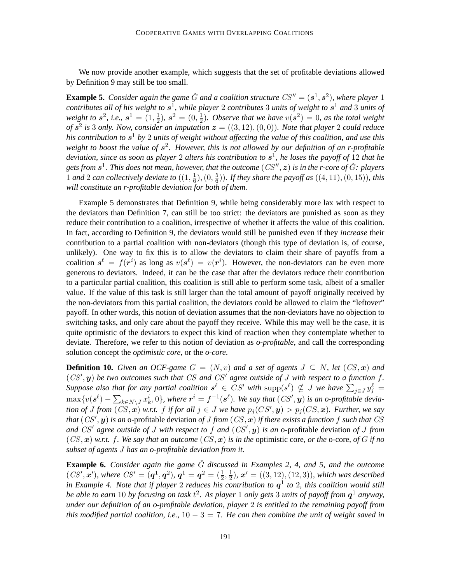We now provide another example, which suggests that the set of profitable deviations allowed by Definition 9 may still be too small.

**Example 5.** Consider again the game  $\check{G}$  and a coalition structure  $CS'' = (\mathbf{s}^1, \mathbf{s}^2)$ , where player 1 *contributes all of his weight to* s 1 *, while player* 2 *contributes* 3 *units of weight to* s <sup>1</sup> *and* 3 *units of weight to*  $s^2$ , *i.e.*,  $s^1 = (1, \frac{1}{2})$  $(\frac{1}{2}), s^2 = (0, \frac{1}{2})$  $\frac{1}{2}$ ). Observe that we have  $v(s^2) = 0$ , as the total weight *of*  $s^2$  is 3 *only. Now, consider an imputation*  $z = ((3, 12), (0, 0))$ *. Note that player* 2 *could reduce his contribution to* s <sup>1</sup> *by* 2 *units of weight without affecting the value of this coalition, and use this weight to boost the value of* s 2 *. However, this is not allowed by our definition of an r-profitable deviation, since as soon as player* 2 *alters his contribution to* s 1 *, he loses the payoff of* 12 *that he gets from* s 1 *. This does not mean, however, that the outcome* (CS′′ , z) *is in the r-core of* Gˇ*: players* 1 and 2 can collectively deviate to  $\left( \left( 1, \frac{1}{6} \right) \right)$  $(\frac{1}{6}), (0, \frac{5}{6})$  $(\frac{5}{6})$ ). If they share the payoff as  $((4, 11), (0, 15))$ , this *will constitute an r-profitable deviation for both of them.*

Example 5 demonstrates that Definition 9, while being considerably more lax with respect to the deviators than Definition 7, can still be too strict: the deviators are punished as soon as they reduce their contribution to a coalition, irrespective of whether it affects the value of this coalition. In fact, according to Definition 9, the deviators would still be punished even if they *increase* their contribution to a partial coalition with non-deviators (though this type of deviation is, of course, unlikely). One way to fix this is to allow the deviators to claim their share of payoffs from a coalition  $s^{\ell} = f(r^{i})$  as long as  $v(s^{\ell}) = v(r^{i})$ . However, the non-deviators can be even more generous to deviators. Indeed, it can be the case that after the deviators reduce their contribution to a particular partial coalition, this coalition is still able to perform some task, albeit of a smaller value. If the value of this task is still larger than the total amount of payoff originally received by the non-deviators from this partial coalition, the deviators could be allowed to claim the "leftover" payoff. In other words, this notion of deviation assumes that the non-deviators have no objection to switching tasks, and only care about the payoff they receive. While this may well be the case, it is quite optimistic of the deviators to expect this kind of reaction when they contemplate whether to deviate. Therefore, we refer to this notion of deviation as *o-profitable*, and call the corresponding solution concept the *optimistic core*, or the *o-core*.

**Definition 10.** *Given an OCF-game*  $G = (N, v)$  *and a set of agents*  $J \subseteq N$ *, let*  $(CS, x)$  *and*  $(CS', y)$  be two outcomes such that  $CS$  and  $CS'$  agree outside of J with respect to a function f. Suppose also that for any partial coalition  $s^{\ell} \in CS'$  with  $\text{supp}(s^{\ell}) \nsubseteq J$  we have  $\sum_{j \in J} y_j^{\ell} =$  $\max\{v(\bm{s}^{\ell}) - \sum_{k \in N \setminus J} x_k^i, 0\}$ , where  $\bm{r}^i = f^{-1}(\bm{s}^{\ell})$ . We say that  $(CS', \bm{y})$  is an o-profitable devia*tion of* J from  $(CS, x)$  *w.r.t.* f *if for all*  $j \in J$  *we have*  $p_j(CS', y) > p_j(CS, x)$ *. Further, we say that* (CS′ , y) *is an* o-profitable deviation *of* J *from* (CS, x) *if there exists a function* f *such that* CS *and* CS′ *agree outside of* J *with respect to* f *and* (CS′ , y) *is an* o-profitable deviation *of* J *from*  $(CS, x)$  *w.r.t.* f. We say that an outcome  $(CS, x)$  *is in the* optimistic core, or the o-core, of G if no *subset of agents* J *has an o-profitable deviation from it.*

**Example 6.** *Consider again the game G discussed in Examples 2, 4, and 5, and the outcome*  $(CS', \mathbf{x}')$ , where  $CS' = (\mathbf{q}^1, \mathbf{q}^2)$ ,  $\mathbf{q}^1 = \mathbf{q}^2 = (\frac{1}{2}, \frac{1}{2})$  $(\frac{1}{2})$ ,  $\bm{x}' = ((3,12),(12,3))$ , which was described *in Example 4. Note that if player* 2 *reduces his contribution to* q 1 *to* 2*, this coalition would still be able to earn* 10 *by focusing on task* t 2 *. As player* 1 *only gets* 3 *units of payoff from* q <sup>1</sup> *anyway, under our definition of an o-profitable deviation, player* 2 *is entitled to the remaining payoff from this modified partial coalition, i.e.,* 10 − 3 = 7*. He can then combine the unit of weight saved in*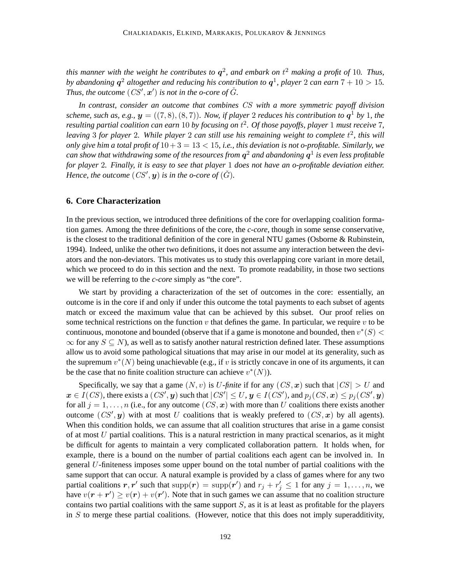*this manner with the weight he contributes to* q 2 *, and embark on* t <sup>2</sup> *making a profit of* 10*. Thus,* by abandoning  $q^2$  altogether and reducing his contribution to  $q^1$ , player 2 can earn  $7 + 10 > 15$ . Thus, the outcome  $(CS', \mathbf{x}')$  is not in the o-core of  $\check{G}$ *.* 

*In contrast, consider an outcome that combines* CS *with a more symmetric payoff division scheme, such as, e.g.,*  $y = ((7, 8), (8, 7))$ *. Now, if player 2 reduces his contribution to*  $q<sup>1</sup>$  *by* 1*, the resulting partial coalition can earn* 10 *by focusing on* t 2 *. Of those payoffs, player* 1 *must receive* 7*,* leaving 3 for player 2. While player 2 can still use his remaining weight to complete  $t^2$ , this will *only give him a total profit of* 10+3 = 13 < 15*, i.e., this deviation is not o-profitable. Similarly, we can show that withdrawing some of the resources from* q <sup>2</sup> *and abandoning* q 1 *is even less profitable for player* 2*. Finally, it is easy to see that player* 1 *does not have an o-profitable deviation either.* Hence, the outcome  $(CS', \mathbf{y})$  is in the o-core of  $(\check{G})$ .

# **6. Core Characterization**

In the previous section, we introduced three definitions of the core for overlapping coalition formation games. Among the three definitions of the core, the *c-core*, though in some sense conservative, is the closest to the traditional definition of the core in general NTU games (Osborne & Rubinstein, 1994). Indeed, unlike the other two definitions, it does not assume any interaction between the deviators and the non-deviators. This motivates us to study this overlapping core variant in more detail, which we proceed to do in this section and the next. To promote readability, in those two sections we will be referring to the *c-core* simply as "the core".

We start by providing a characterization of the set of outcomes in the core: essentially, an outcome is in the core if and only if under this outcome the total payments to each subset of agents match or exceed the maximum value that can be achieved by this subset. Our proof relies on some technical restrictions on the function v that defines the game. In particular, we require v to be continuous, monotone and bounded (observe that if a game is monotone and bounded, then  $v^*(S)$ )  $\infty$  for any  $S \subseteq N$ ), as well as to satisfy another natural restriction defined later. These assumptions allow us to avoid some pathological situations that may arise in our model at its generality, such as the supremum  $v^*(N)$  being unachievable (e.g., if v is strictly concave in one of its arguments, it can be the case that no finite coalition structure can achieve  $v^*(N)$ ).

Specifically, we say that a game  $(N, v)$  is U-finite if for any  $(CS, x)$  such that  $|CS| > U$  and  $\bm{x}\in I(CS)$ , there exists a  $(CS',\bm{y})$  such that  $|CS'|\leq U,\bm{y}\in I(CS'),$  and  $p_j(CS,\bm{x})\leq p_j(CS',\bm{y})$ for all  $j = 1, \ldots, n$  (i.e., for any outcome  $(CS, x)$  with more than U coalitions there exists another outcome  $(CS', y)$  with at most U coalitions that is weakly prefered to  $(CS, x)$  by all agents). When this condition holds, we can assume that all coalition structures that arise in a game consist of at most  $U$  partial coalitions. This is a natural restriction in many practical scenarios, as it might be difficult for agents to maintain a very complicated collaboration pattern. It holds when, for example, there is a bound on the number of partial coalitions each agent can be involved in. In general U-finiteness imposes some upper bound on the total number of partial coalitions with the same support that can occur. A natural example is provided by a class of games where for any two partial coalitions  $r, r'$  such that  $supp(r) = supp(r')$  and  $r_j + r'_j \le 1$  for any  $j = 1, ..., n$ , we have  $v(\mathbf{r} + \mathbf{r}') \ge v(\mathbf{r}) + v(\mathbf{r}')$ . Note that in such games we can assume that no coalition structure contains two partial coalitions with the same support  $S$ , as it is at least as profitable for the players in  $S$  to merge these partial coalitions. (However, notice that this does not imply superadditivity,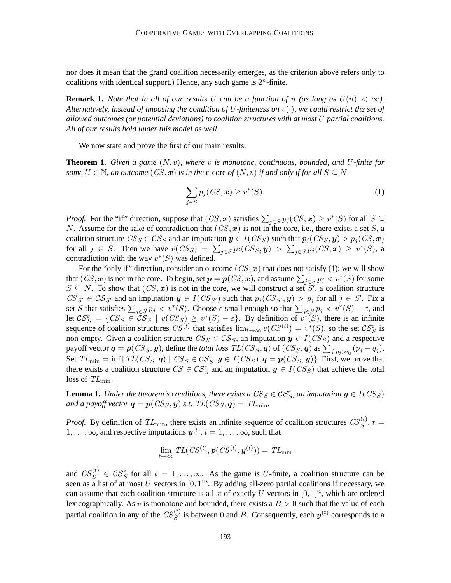nor does it mean that the grand coalition necessarily emerges, as the criterion above refers only to coalitions with identical support.) Hence, any such game is  $2^n$ -finite.

**Remark 1.** *Note that in all of our results* U *can be a function of* n *(as long as*  $U(n) < \infty$ ). *Alternatively, instead of imposing the condition of* U*-finiteness on* v(·)*, we could restrict the set of allowed outcomes (or potential deviations) to coalition structures with at most* U *partial coalitions. All of our results hold under this model as well.*

We now state and prove the first of our main results.

**Theorem 1.** *Given a game* (N, v)*, where* v *is monotone, continuous, bounded, and* U*-finite for some*  $U \in \mathbb{N}$ , an outcome  $(CS, x)$  *is in the* c-core of  $(N, v)$  *if and only if for all*  $S \subseteq N$ 

$$
\sum_{j \in S} p_j(CS, \mathbf{x}) \ge v^*(S). \tag{1}
$$

*Proof.* For the "if" direction, suppose that  $(CS, x)$  satisfies  $\sum_{j \in S} p_j(CS, x) \ge v^*(S)$  for all  $S \subseteq$ N. Assume for the sake of contradiction that  $(CS, x)$  is not in the core, i.e., there exists a set S, a coalition structure  $CS_S \in \mathcal{CS}_S$  and an imputation  $y \in I(CSS)$  such that  $p_j(CSS, y) > p_j(CSS, x)$ for all  $j \in S$ . Then we have  $v(CS_S) = \sum_{j \in S} p_j(CS_S, y) > \sum_{j \in S} p_j(CS, x) \ge v^*(S)$ , a contradiction with the way  $v^*(S)$  was defined.

For the "only if" direction, consider an outcome  $(CS, x)$  that does not satisfy (1); we will show that  $(CS, x)$  is not in the core. To begin, set  $p = p(CS, x)$ , and assume  $\sum_{j \in S} p_j < v^*(S)$  for some  $S \subseteq N$ . To show that  $(CS, x)$  is not in the core, we will construct a set S', a coalition structure  $CS_{S'} \in \mathcal{CS}_{S'}$  and an imputation  $y \in I(CSS_{S'})$  such that  $p_j(CSS_{S'}, y) > p_j$  for all  $j \in S'$ . Fix a set S that satisfies  $\sum_{j \in S} p_j < v^*(S)$ . Choose  $\varepsilon$  small enough so that  $\sum_{j \in S} p_j < v^*(S) - \varepsilon$ , and let  $\mathcal{CS}_S = \{CS_S \in \widetilde{\mathcal{CS}_S} \mid v(CSS) \geq v^*(S) - \varepsilon\}$ . By definition of  $v^*(S)$ , there is an infinite sequence of coalition structures  $CS^{(t)}$  that satisfies  $\lim_{t\to\infty} v(CS^{(t)}) = v^*(S)$ , so the set  $CS^{\varepsilon}_S$  is non-empty. Given a coalition structure  $CS_S \in \mathcal{CS}_S$ , an imputation  $y \in I(CSS)$  and a respective payoff vector  $q = p(C S_S, y)$ , define the *total loss*  $TL(C S_S, q)$  of  $(C S_S, q)$  as  $\sum_{j: p_j > q_j} (p_j - q_j)$ . Set  $TL_{\min} = \inf \{ TL(CSS, q) \mid CS_S \in \mathcal{CS}_S, y \in I(CSS), q = p(CSS, y) \}.$  First, we prove that there exists a coalition structure  $CS \in \mathcal{CS}_S^{\varepsilon}$  and an imputation  $y \in I(CSS)$  that achieve the total loss of  $TL_{\text{min}}$ .

**Lemma 1.** *Under the theorem's conditions, there exists a*  $CS_S \in \mathcal{CS}_S^{\epsilon}$ , an imputation  $y \in I(CSS)$ *and a payoff vector*  $q = p(CS_S, y)$  *s.t.*  $TL(CS_S, q) = TL_{min}$ .

*Proof.* By definition of  $TL_{\text{min}}$ , there exists an infinite sequence of coalition structures  $CS_S^{(t)}$ ,  $t =$  $1, \ldots, \infty$ , and respective imputations  $y^{(t)}$ ,  $t = 1, \ldots, \infty$ , such that

$$
\lim_{t\to\infty} \, TL(CS^{(t)}, \boldsymbol{p}(\mathit{CS}^{(t)}, \boldsymbol{y}^{(t)})) = \mathit{TL}_{\min}
$$

and  $CS_S^{(t)} \in \mathcal{CS}_S^{\epsilon}$  for all  $t = 1, \ldots, \infty$ . As the game is U-finite, a coalition structure can be seen as a list of at most U vectors in  $[0, 1]^n$ . By adding all-zero partial coalitions if necessary, we can assume that each coalition structure is a list of exactly U vectors in  $[0, 1]^n$ , which are ordered lexicographically. As v is monotone and bounded, there exists a  $B > 0$  such that the value of each partial coalition in any of the  $CS_S^{(t)}$  is between 0 and B. Consequently, each  $y^{(t)}$  corresponds to a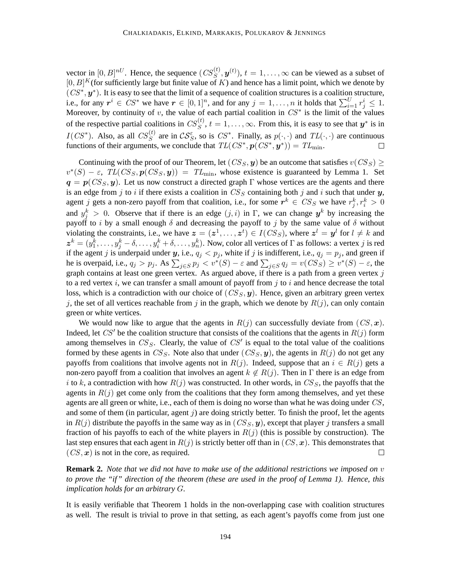vector in  $[0, B]^{nU}$ . Hence, the sequence  $(CS_S^{(t)}, \mathbf{y}^{(t)})$ ,  $t = 1, \dots, \infty$  can be viewed as a subset of  $[0, B]^K$  (for sufficiently large but finite value of K) and hence has a limit point, which we denote by  $(CS^*, y^*)$ . It is easy to see that the limit of a sequence of coalition structures is a coalition structure, i.e., for any  $r^i \in CS^*$  we have  $r \in [0,1]^n$ , and for any  $j = 1, ..., n$  it holds that  $\sum_{i=1}^U r^i_j \leq 1$ . Moreover, by continuity of v, the value of each partial coalition in  $CS^*$  is the limit of the values of the respective partial coalitions in  $CS_S^{(t)}$ ,  $t = 1, \ldots, \infty$ . From this, it is easy to see that  $y^*$  is in  $I(CS^*)$ . Also, as all  $CS_S^{(t)}$  are in  $CS_S^{\varepsilon}$ , so is  $CS^*$ . Finally, as  $p(\cdot, \cdot)$  and  $TL(\cdot, \cdot)$  are continuous functions of their arguments, we conclude that  $TL(CS^*, p(CS^*, y^*)) = TL_{\text{min}}$ .

Continuing with the proof of our Theorem, let  $(CS_S, y)$  be an outcome that satisfies  $v(CS_S) \geq$  $v^*(S) - \varepsilon$ ,  $TL(CS_S, p(CS_S, y)) = TL_{min}$ , whose existence is guaranteed by Lemma 1. Set  $q = p(CSS, y)$ . Let us now construct a directed graph Γ whose vertices are the agents and there is an edge from j to i if there exists a coalition in  $CS_S$  containing both j and i such that under  $y$ , agent j gets a non-zero payoff from that coalition, i.e., for some  $r^k \in CS_S$  we have  $r^k_j, r^k_i > 0$ and  $y_j^k > 0$ . Observe that if there is an edge  $(j, i)$  in  $\Gamma$ , we can change  $y^k$  by increasing the payoff to i by a small enough  $\delta$  and decreasing the payoff to j by the same value of  $\delta$  without violating the constraints, i.e., we have  $\boldsymbol{z} = (\boldsymbol{z}^1, \dots, \boldsymbol{z}^t) \in I(CS_S)$ , where  $\boldsymbol{z}^l = \boldsymbol{y}^l$  for  $l \neq k$  and  $z^k = (y_1^k, \ldots, y_j^k - \delta, \ldots, y_i^k + \delta, \ldots, y_n^k)$ . Now, color all vertices of  $\Gamma$  as follows: a vertex  $j$  is red if the agent j is underpaid under y, i.e.,  $q_j < p_j$ , white if j is indifferent, i.e.,  $q_j = p_j$ , and green if he is overpaid, i.e.,  $q_j > p_j$ . As  $\sum_{j \in S} p_j < v^*(S) - \varepsilon$  and  $\sum_{j \in S} q_j = v(CS_S) \ge v^*(S) - \varepsilon$ , the graph contains at least one green vertex. As argued above, if there is a path from a green vertex  $j$ to a red vertex  $i$ , we can transfer a small amount of payoff from  $j$  to  $i$  and hence decrease the total loss, which is a contradiction with our choice of  $(CSS, y)$ . Hence, given an arbitrary green vertex j, the set of all vertices reachable from j in the graph, which we denote by  $R(j)$ , can only contain green or white vertices.

We would now like to argue that the agents in  $R(j)$  can successfully deviate from  $(CS, x)$ . Indeed, let CS' be the coalition structure that consists of the coalitions that the agents in  $R(j)$  form among themselves in  $CS_S$ . Clearly, the value of  $CS'$  is equal to the total value of the coalitions formed by these agents in  $CS_S$ . Note also that under  $(CSS, y)$ , the agents in  $R(j)$  do not get any payoffs from coalitions that involve agents not in  $R(j)$ . Indeed, suppose that an  $i \in R(j)$  gets a non-zero payoff from a coalition that involves an agent  $k \notin R(j)$ . Then in  $\Gamma$  there is an edge from i to k, a contradiction with how  $R(j)$  was constructed. In other words, in  $CS<sub>S</sub>$ , the payoffs that the agents in  $R(j)$  get come only from the coalitions that they form among themselves, and yet these agents are all green or white, i.e., each of them is doing no worse than what he was doing under CS, and some of them (in particular, agent  $j$ ) are doing strictly better. To finish the proof, let the agents in  $R(j)$  distribute the payoffs in the same way as in  $(CS_S, y)$ , except that player j transfers a small fraction of his payoffs to each of the white players in  $R(j)$  (this is possible by construction). The last step ensures that each agent in  $R(j)$  is strictly better off than in  $(CS, x)$ . This demonstrates that  $(CS, x)$  is not in the core, as required.  $\Box$ 

**Remark 2.** *Note that we did not have to make use of the additional restrictions we imposed on* v *to prove the "if" direction of the theorem (these are used in the proof of Lemma 1). Hence, this implication holds for an arbitrary* G*.*

It is easily verifiable that Theorem 1 holds in the non-overlapping case with coalition structures as well. The result is trivial to prove in that setting, as each agent's payoffs come from just one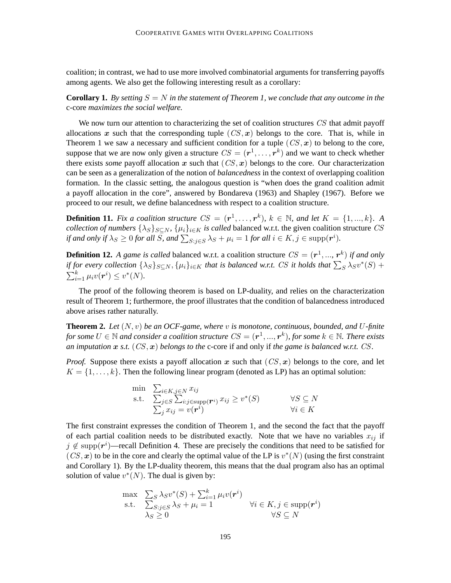coalition; in contrast, we had to use more involved combinatorial arguments for transferring payoffs among agents. We also get the following interesting result as a corollary:

**Corollary 1.** By setting  $S = N$  in the statement of Theorem 1, we conclude that any outcome in the c-core *maximizes the social welfare.*

We now turn our attention to characterizing the set of coalition structures CS that admit payoff allocations x such that the corresponding tuple  $(CS, x)$  belongs to the core. That is, while in Theorem 1 we saw a necessary and sufficient condition for a tuple  $(CS, x)$  to belong to the core, suppose that we are now only given a structure  $CS = (\mathbf{r}^1, \dots, \mathbf{r}^k)$  and we want to check whether there exists *some* payoff allocation  $x$  such that  $(CS, x)$  belongs to the core. Our characterization can be seen as a generalization of the notion of *balancedness* in the context of overlapping coalition formation. In the classic setting, the analogous question is "when does the grand coalition admit a payoff allocation in the core", answered by Bondareva (1963) and Shapley (1967). Before we proceed to our result, we define balancedness with respect to a coalition structure.

**Definition 11.** *Fix a coalition structure*  $CS = (r^1, \ldots, r^k)$ ,  $k \in \mathbb{N}$ , and let  $K = \{1, ..., k\}$ . A *collection of numbers*  $\{\lambda_S\}_{S\subseteq N}$ ,  $\{\mu_i\}_{i\in K}$  *is called* balanced w.r.t. the given coalition structure CS *if and only if*  $\lambda_S \geq 0$  *for all S, and*  $\sum_{S:j\in S} \lambda_S + \mu_i = 1$  *for all*  $i \in K, j \in \text{supp}(\boldsymbol{r}^i)$ *.* 

**Definition 12.** A game is called balanced w.r.t. a coalition structure  $CS = (\mathbf{r}^1, ..., \mathbf{r}^k)$  if and only *if for every collection*  $\{\lambda_S\}_{S \subseteq N}, \{\mu_i\}_{i \in K}$  *that is balanced w.r.t.* CS *it holds that*  $\sum_S \lambda_S v^*(S)$  +  $\sum_{i=1}^{k} \mu_i v(r^i) \leq v^*(N)$ .

The proof of the following theorem is based on LP-duality, and relies on the characterization result of Theorem 1; furthermore, the proof illustrates that the condition of balancedness introduced above arises rather naturally.

**Theorem 2.** *Let* (N, v) *be an OCF-game, where* v *is monotone, continuous, bounded, and* U*-finite*  $f$ or some  $U \in \mathbb{N}$  and consider a coalition structure  $CS = (\bm{r}^1,...,\bm{r}^k)$ , for some  $k \in \mathbb{N}$ . There exists *an imputation*  $x$  *s.t.*  $(CS, x)$  *belongs to the* c-core if and only if *the game is balanced w.r.t.* CS.

*Proof.* Suppose there exists a payoff allocation x such that  $(CS, x)$  belongs to the core, and let  $K = \{1, \ldots, k\}$ . Then the following linear program (denoted as LP) has an optimal solution:

$$
\begin{array}{ll}\n\min & \sum_{i \in K, j \in N} x_{ij} \\
\text{s.t.} & \sum_{j \in S} \sum_{i:j \in \text{supp}(\mathbf{r}^i)} x_{ij} \ge v^*(S) \\
& \sum_{j} x_{ij} = v(\mathbf{r}^i) \\
& \forall i \in K\n\end{array}
$$

The first constraint expresses the condition of Theorem 1, and the second the fact that the payoff of each partial coalition needs to be distributed exactly. Note that we have no variables  $x_{ij}$  if  $j \notin \text{supp}(r^i)$ —recall Definition 4. These are precisely the conditions that need to be satisfied for  $(CS, x)$  to be in the core and clearly the optimal value of the LP is  $v^*(N)$  (using the first constraint and Corollary 1). By the LP-duality theorem, this means that the dual program also has an optimal solution of value  $v^*(N)$ . The dual is given by:

$$
\begin{array}{ll}\n\max & \sum_{S} \lambda_{S} v^{*}(S) + \sum_{i=1}^{k} \mu_{i} v(\mathbf{r}^{i}) \\
\text{s.t.} & \sum_{S:j \in S} \lambda_{S} + \mu_{i} = 1 \quad \forall i \in K, j \in \text{supp}(\mathbf{r}^{i}) \\
\lambda_{S} \geq 0 \quad \forall S \subseteq N\n\end{array}
$$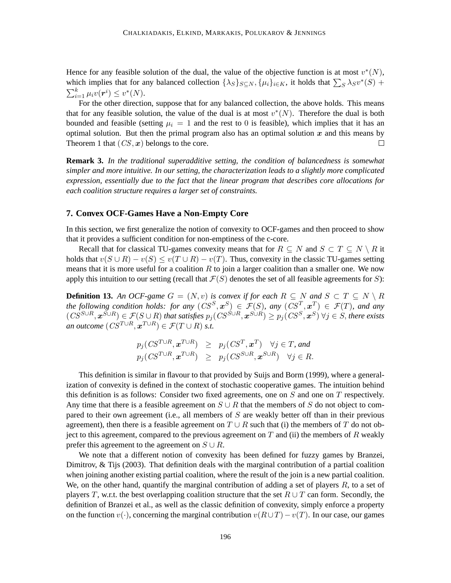Hence for any feasible solution of the dual, the value of the objective function is at most  $v^*(N)$ , which implies that for any balanced collection  $\{\lambda_S\}_{S \subseteq N}, \{\mu_i\}_{i \in K}$ , it holds that  $\sum_S \lambda_S v^*(S)$  +  $\sum_{i=1}^k \mu_i v(\boldsymbol{r}^i) \leq v^*(N).$ 

For the other direction, suppose that for any balanced collection, the above holds. This means that for any feasible solution, the value of the dual is at most  $v^*(N)$ . Therefore the dual is both bounded and feasible (setting  $\mu_i = 1$  and the rest to 0 is feasible), which implies that it has an optimal solution. But then the primal program also has an optimal solution  $x$  and this means by Theorem 1 that  $(CS, x)$  belongs to the core.  $\Box$ 

**Remark 3.** *In the traditional superadditive setting, the condition of balancedness is somewhat simpler and more intuitive. In our setting, the characterization leads to a slightly more complicated expression, essentially due to the fact that the linear program that describes core allocations for each coalition structure requires a larger set of constraints.*

### **7. Convex OCF-Games Have a Non-Empty Core**

In this section, we first generalize the notion of convexity to OCF-games and then proceed to show that it provides a sufficient condition for non-emptiness of the c-core.

Recall that for classical TU-games convexity means that for  $R \subseteq N$  and  $S \subset T \subseteq N \setminus R$  it holds that  $v(S \cup R) - v(S) \le v(T \cup R) - v(T)$ . Thus, convexity in the classic TU-games setting means that it is more useful for a coalition  $R$  to join a larger coalition than a smaller one. We now apply this intuition to our setting (recall that  $\mathcal{F}(S)$  denotes the set of all feasible agreements for S):

**Definition 13.** An OCF-game  $G = (N, v)$  is convex if for each  $R \subseteq N$  and  $S \subset T \subseteq N \setminus R$ the following condition holds: for any  $(CS^S, x^S) \in \mathcal{F}(S)$ , any  $(CS^T, x^T) \in \mathcal{F}(T)$ , and any  $(CS^{S\cup R},\bm{x}^{S\cup R})\in \mathcal{F}(S\cup R)$  that satisfies  $p_j(CS^{S\cup R},\bm{x}^{S\cup R})\geq p_j(CS^S,\bm{x}^S)$   $\forall j\in S,$  there exists *an outcome*  $(CS^{T\cup R}, \boldsymbol{x}^{T\cup R}) \in \mathcal{F}(T\cup R)$  *s.t.* 

$$
\begin{array}{lcl} p_j(\mathit{CS}^{T \cup R}, \boldsymbol{x}^{T \cup R}) & \geq & p_j(\mathit{CS}^{T}, \boldsymbol{x}^{T}) \quad \forall j \in T, \, and \\ p_j(\mathit{CS}^{T \cup R}, \boldsymbol{x}^{T \cup R}) & \geq & p_j(\mathit{CS}^{S \cup R}, \boldsymbol{x}^{S \cup R}) \quad \forall j \in R. \end{array}
$$

This definition is similar in flavour to that provided by Suijs and Borm (1999), where a generalization of convexity is defined in the context of stochastic cooperative games. The intuition behind this definition is as follows: Consider two fixed agreements, one on  $S$  and one on  $T$  respectively. Any time that there is a feasible agreement on  $S \cup R$  that the members of S do not object to compared to their own agreement (i.e., all members of  $S$  are weakly better off than in their previous agreement), then there is a feasible agreement on  $T \cup R$  such that (i) the members of T do not object to this agreement, compared to the previous agreement on  $T$  and (ii) the members of  $R$  weakly prefer this agreement to the agreement on  $S \cup R$ .

We note that a different notion of convexity has been defined for fuzzy games by Branzei, Dimitrov, & Tijs (2003). That definition deals with the marginal contribution of a partial coalition when joining another existing partial coalition, where the result of the join is a new partial coalition. We, on the other hand, quantify the marginal contribution of adding a set of players  $R$ , to a set of players T, w.r.t. the best overlapping coalition structure that the set  $R \cup T$  can form. Secondly, the definition of Branzei et al., as well as the classic definition of convexity, simply enforce a property on the function  $v(\cdot)$ , concerning the marginal contribution  $v(R\cup T)-v(T)$ . In our case, our games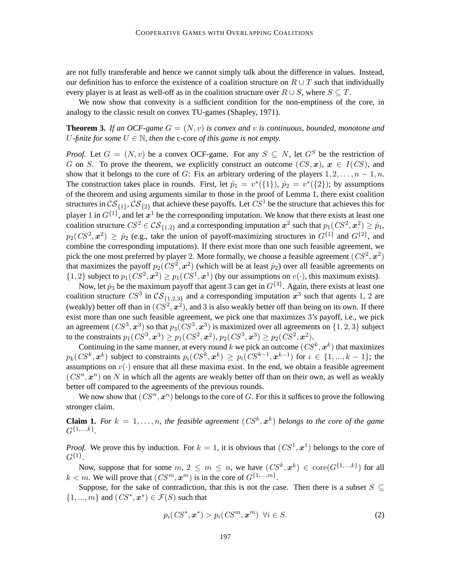are not fully transferable and hence we cannot simply talk about the difference in values. Instead, our definition has to enforce the existence of a coalition structure on  $R \cup T$  such that individually every player is at least as well-off as in the coalition structure over  $R \cup S$ , where  $S \subseteq T$ .

We now show that convexity is a sufficient condition for the non-emptiness of the core, in analogy to the classic result on convex TU-games (Shapley, 1971).

# **Theorem 3.** If an OCF-game  $G = (N, v)$  is convex and v is continuous, bounded, monotone and U-finite for some  $U \in \mathbb{N}$ , then the c-core of this game is not empty.

*Proof.* Let  $G = (N, v)$  be a convex OCF-game. For any  $S \subseteq N$ , let  $G^S$  be the restriction of G on S. To prove the theorem, we explicitly construct an outcome  $(CS, x)$ ,  $x \in I(CS)$ , and show that it belongs to the core of G: Fix an arbitrary ordering of the players  $1, 2, \ldots, n-1, n$ . The construction takes place in rounds. First, let  $\hat{p}_1 = v^*(\{1\})$ ,  $\hat{p}_2 = v^*(\{2\})$ ; by assumptions of the theorem and using arguments similar to those in the proof of Lemma 1, there exist coalition structures in  $CS_{\{1\}}, CS_{\{2\}}$  that achieve these payoffs. Let  $CS^1$  be the structure that achieves this for player 1 in  $G^{\{1\}}$ , and let  $x^1$  be the corresponding imputation. We know that there exists at least one coalition structure  $CS^2 \in \mathcal{CS}_{\{1,2\}}$  and a corresponding imputation  $\bm{x}^2$  such that  $p_1(CS^2, \bm{x}^2) \geq \hat{p}_1$ ,  $p_2(CS^2, \mathbf{x}^2) \ge \hat{p}_2$  (e.g., take the union of payoff-maximizing structures in  $G^{\{1\}}$  and  $G^{\{2\}}$ , and combine the corresponding imputations). If there exist more than one such feasible agreement, we pick the one most preferred by player 2. More formally, we choose a feasible agreement  $(CS^2, x^2)$ that maximizes the payoff  $p_2(CS^2, x^2)$  (which will be at least  $\hat{p}_2$ ) over all feasible agreements on  $\{1,2\}$  subject to  $p_1(CS^2, \mathbf{x}^2) \geq p_1(CS^1, \mathbf{x}^1)$  (by our assumptions on  $v(\cdot)$ , this maximum exists).

Now, let  $\hat{p}_3$  be the maximum payoff that agent 3 can get in  $G^{\{3\}}$ . Again, there exists at least one coalition structure  $CS^3$  in  $CS_{\{1,2,3\}}$  and a corresponding imputation  $x^3$  such that agents 1, 2 are (weakly) better off than in  $(CS^2, x^2)$ , and 3 is also weakly better off than being on its own. If there exist more than one such feasible agreement, we pick one that maximizes 3's payoff, i.e., we pick an agreement  $(CS^3, \mathbf{x}^3)$  so that  $p_3(CS^3, \mathbf{x}^3)$  is maximized over all agreements on  $\{1, 2, 3\}$  subject to the constraints  $p_1(CS^3,\bm{x}^3)\geq p_1(CS^2,\bm{x}^2),$   $p_2(CS^3,\bm{x}^3)\geq p_2(CS^2,\bm{x}^2).$ 

Continuing in the same manner, at every round  $k$  we pick an outcome  $(CS^k, x^k)$  that maximizes  $p_k(CS^k, \boldsymbol{x}^k)$  subject to constraints  $p_i(CS^k, \boldsymbol{x}^k) \geq p_i(CS^{k-1}, \boldsymbol{x}^{k-1})$  for  $i \in \{1, ..., k-1\}$ ; the assumptions on  $v(\cdot)$  ensure that all these maxima exist. In the end, we obtain a feasible agreement  $(CS<sup>n</sup>, x<sup>n</sup>)$  on N in which all the agents are weakly better off than on their own, as well as weakly better off compared to the agreements of the previous rounds.

We now show that  $(CS^n, x^n)$  belongs to the core of G. For this it suffices to prove the following stronger claim.

**Claim 1.** For  $k = 1, \ldots, n$ , the feasible agreement  $(CS<sup>k</sup>, x<sup>k</sup>)$  belongs to the core of the game  $G^{\{1,...,k\}}$ .

*Proof.* We prove this by induction. For  $k = 1$ , it is obvious that  $(CS^1, x^1)$  belongs to the core of  $G^{\{1\}}.$ 

Now, suppose that for some  $m, 2 \le m \le n$ , we have  $(CS^k, x^k) \in \text{core}(G^{\{1,...,k\}})$  for all  $k < m$ . We will prove that  $(CS^m, \mathbf{x}^m)$  is in the core of  $G^{\{1,\dots,m\}}$ .

Suppose, for the sake of contradiction, that this is not the case. Then there is a subset  $S \subseteq$  $\{1, ..., m\}$  and  $(CS^*, \mathbf{x}^*) \in \mathcal{F}(S)$  such that

$$
p_i(CS^*, \boldsymbol{x}^*) > p_i(CS^m, \boldsymbol{x}^m) \ \forall i \in S. \tag{2}
$$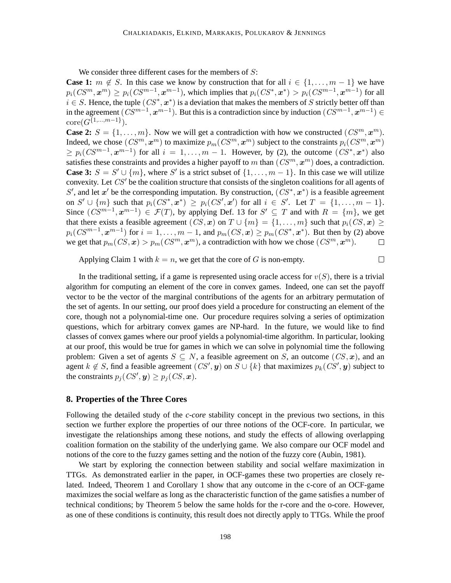We consider three different cases for the members of  $S$ :

**Case 1:**  $m \notin S$ . In this case we know by construction that for all  $i \in \{1, \ldots, m-1\}$  we have  $p_i(CS^m, \mathbf{x}^m) \ge p_i(CS^{m-1}, \mathbf{x}^{m-1})$ , which implies that  $p_i(CS^*, \mathbf{x}^*) > p_i(CS^{m-1}, \mathbf{x}^{m-1})$  for all  $i \in S$ . Hence, the tuple  $(CS^*, \mathbf{x}^*)$  is a deviation that makes the members of S strictly better off than in the agreement  $(CS^{m-1}, x^{m-1})$ . But this is a contradiction since by induction  $(CS^{m-1}, x^{m-1}) \in$  $\mathrm{core}(G^{\{1,...,m-1\}}).$ 

**Case 2:**  $S = \{1, \ldots, m\}$ . Now we will get a contradiction with how we constructed  $(CS<sup>m</sup>, x<sup>m</sup>)$ . Indeed, we chose  $(CS^m, x^m)$  to maximize  $p_m(CS^m, x^m)$  subject to the constraints  $p_i(CS^m, x^m)$  $\geq p_i(CS^{m-1}, \mathbf{x}^{m-1})$  for all  $i = 1, \ldots, m-1$ . However, by (2), the outcome  $(CS^*, \mathbf{x}^*)$  also satisfies these constraints and provides a higher payoff to m than  $(CS<sup>m</sup>, x<sup>m</sup>)$  does, a contradiction. **Case 3:**  $S = S' \cup \{m\}$ , where S' is a strict subset of  $\{1, \ldots, m-1\}$ . In this case we will utilize convexity. Let CS' be the coalition structure that consists of the singleton coalitions for all agents of S', and let x' be the corresponding imputation. By construction,  $(CS^*, x^*)$  is a feasible agreement on  $S' \cup \{m\}$  such that  $p_i(CS^*, \boldsymbol{x}^*) \geq p_i(CS', \boldsymbol{x}')$  for all  $i \in S'$ . Let  $T = \{1, \ldots, m-1\}$ . Since  $(CS^{m-1}, x^{m-1}) \in \mathcal{F}(T)$ , by applying Def. 13 for  $S' \subseteq T$  and with  $R = \{m\}$ , we get that there exists a feasible agreement  $(CS, x)$  on  $T \cup \{m\} = \{1, \ldots, m\}$  such that  $p_i(CS, x) \geq$  $p_i(CS^{m-1}, \mathbf{x}^{m-1})$  for  $i = 1, \ldots, m-1$ , and  $p_m(CS, \mathbf{x}) \ge p_m(CS^*, \mathbf{x}^*)$ . But then by (2) above we get that  $p_m(CS, x) > p_m(CS^m, x^m)$ , a contradiction with how we chose  $(CS^m, x^m)$ .  $\Box$ 

Applying Claim 1 with  $k = n$ , we get that the core of G is non-empty.

 $\Box$ 

In the traditional setting, if a game is represented using oracle access for  $v(S)$ , there is a trivial algorithm for computing an element of the core in convex games. Indeed, one can set the payoff vector to be the vector of the marginal contributions of the agents for an arbitrary permutation of the set of agents. In our setting, our proof does yield a procedure for constructing an element of the core, though not a polynomial-time one. Our procedure requires solving a series of optimization questions, which for arbitrary convex games are NP-hard. In the future, we would like to find classes of convex games where our proof yields a polynomial-time algorithm. In particular, looking at our proof, this would be true for games in which we can solve in polynomial time the following problem: Given a set of agents  $S \subseteq N$ , a feasible agreement on S, an outcome  $(CS, x)$ , and an agent  $k \notin S$ , find a feasible agreement  $(CS', y)$  on  $S \cup \{k\}$  that maximizes  $p_k(CS', y)$  subject to the constraints  $p_j(CS', y) \ge p_j(CS, x)$ .

# **8. Properties of the Three Cores**

Following the detailed study of the *c-core* stability concept in the previous two sections, in this section we further explore the properties of our three notions of the OCF-core. In particular, we investigate the relationships among these notions, and study the effects of allowing overlapping coalition formation on the stability of the underlying game. We also compare our OCF model and notions of the core to the fuzzy games setting and the notion of the fuzzy core (Aubin, 1981).

We start by exploring the connection between stability and social welfare maximization in TTGs. As demonstrated earlier in the paper, in OCF-games these two properties are closely related. Indeed, Theorem 1 and Corollary 1 show that any outcome in the c-core of an OCF-game maximizes the social welfare as long as the characteristic function of the game satisfies a number of technical conditions; by Theorem 5 below the same holds for the r-core and the o-core. However, as one of these conditions is continuity, this result does not directly apply to TTGs. While the proof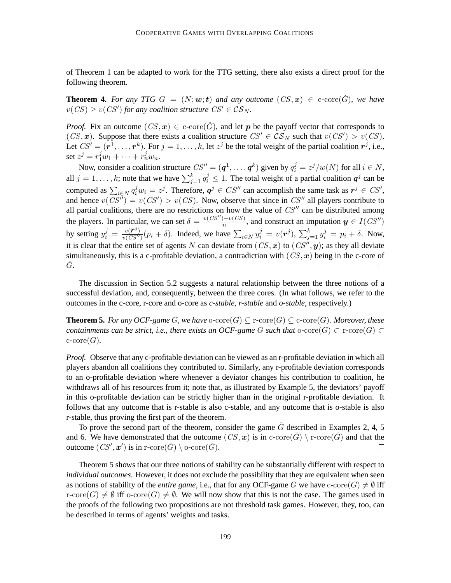of Theorem 1 can be adapted to work for the TTG setting, there also exists a direct proof for the following theorem.

**Theorem 4.** For any TTG  $G = (N; w; t)$  and any outcome  $(CS, x) \in c\text{-core}(\hat{G})$ , we have  $v(CS) \ge v(CS')$  for any coalition structure  $CS' \in \mathcal{CS}_N$ .

*Proof.* Fix an outcome  $(CS, x) \in c\text{-core}(\check{G})$ , and let p be the payoff vector that corresponds to  $(CS, x)$ . Suppose that there exists a coalition structure  $CS' \in \mathcal{CS}_N$  such that  $v(CS') > v(CS)$ . Let  $CS' = (\mathbf{r}^1, \dots, \mathbf{r}^k)$ . For  $j = 1, \dots, k$ , let  $z^j$  be the total weight of the partial coalition  $\mathbf{r}^j$ , i.e., set  $z^j = r_1^j w_1 + \cdots + r_n^j w_n$ .

Now, consider a coalition structure  $CS'' = (\boldsymbol{q}^1, \dots, \boldsymbol{q}^k)$  given by  $q_i^j = z^j/w(N)$  for all  $i \in N$ , all  $j = 1, ..., k$ ; note that we have  $\sum_{j=1}^{k} q_i^j \le 1$ . The total weight of a partial coalition  $q^j$  can be computed as  $\sum_{i \in N} q_i^j w_i = z^j$ . Therefore,  $q^j \in CS''$  can accomplish the same task as  $r^j \in CS'$ , and hence  $v(CS'') = v(CS') > v(CS)$ . Now, observe that since in CS'' all players contribute to all partial coalitions, there are no restrictions on how the value of  $CS''$  can be distributed among the players. In particular, we can set  $\delta = \frac{v(CS'') - v(CS)}{n}$  $\frac{h(-v(CS))}{n}$ , and construct an imputation  $y \in I(CS'')$ by setting  $y_i^j = \frac{v(\mathbf{r}^j)}{v(CS'')} (p_i + \delta)$ . Indeed, we have  $\sum_{i \in N} y_i^j = v(\mathbf{r}^j)$ ,  $\sum_{j=1}^k y_i^j = p_i + \delta$ . Now, it is clear that the entire set of agents N can deviate from  $(CS, x)$  to  $(CS'', y)$ ; as they all deviate simultaneously, this is a c-profitable deviation, a contradiction with  $(CS, x)$  being in the c-core of  $\dot{G}$ .  $\Box$ 

The discussion in Section 5.2 suggests a natural relationship between the three notions of a successful deviation, and, consequently, between the three cores. (In what follows, we refer to the outcomes in the c-core, r-core and o-core as *c-stable*, *r-stable* and *o-stable*, respectively.)

**Theorem 5.** For any OCF-game G, we have  $\text{o-core}(G) \subseteq \text{r-core}(G) \subseteq \text{c-core}(G)$ *. Moreover, these containments can be strict, i.e., there exists an OCF-game G such that*  $\text{o-core}(G) \subset \text{r-core}(G) \subset$  $c\text{-core}(G)$ .

*Proof.* Observe that any c-profitable deviation can be viewed as an r-profitable deviation in which all players abandon all coalitions they contributed to. Similarly, any r-profitable deviation corresponds to an o-profitable deviation where whenever a deviator changes his contribution to coalition, he withdraws all of his resources from it; note that, as illustrated by Example 5, the deviators' payoff in this o-profitable deviation can be strictly higher than in the original r-profitable deviation. It follows that any outcome that is r-stable is also c-stable, and any outcome that is o-stable is also r-stable, thus proving the first part of the theorem.

To prove the second part of the theorem, consider the game  $\tilde{G}$  described in Examples 2, 4, 5 and 6. We have demonstrated that the outcome  $(CS, x)$  is in  $c\text{-core}(\check{G}) \setminus r\text{-core}(\check{G})$  and that the outcome  $(CS', \mathbf{x}')$  is in r-core $(\check{G}) \setminus$  o-core $(\check{G})$ .  $\Box$ 

Theorem 5 shows that our three notions of stability can be substantially different with respect to *individual outcomes*. However, it does not exclude the possibility that they are equivalent when seen as notions of stability of the *entire game*, i.e., that for any OCF-game G we have  $c\text{-core}(G) \neq \emptyset$  iff  $r\text{-core}(G) \neq \emptyset$  iff  $\text{-core}(G) \neq \emptyset$ . We will now show that this is not the case. The games used in the proofs of the following two propositions are not threshold task games. However, they, too, can be described in terms of agents' weights and tasks.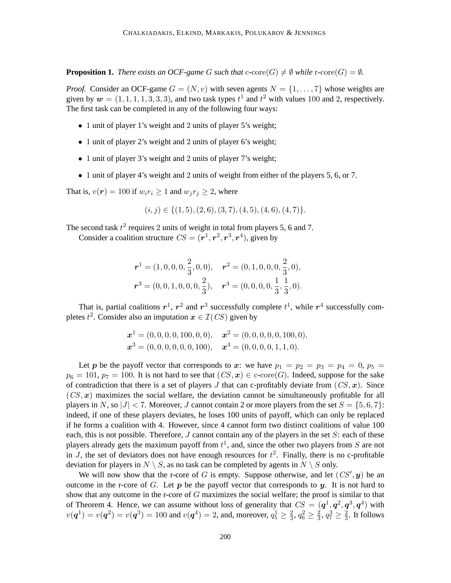**Proposition 1.** *There exists an OCF-game G such that*  $c\text{-core}(G) \neq \emptyset$  *while*  $r\text{-core}(G) = \emptyset$ *.* 

*Proof.* Consider an OCF-game  $G = (N, v)$  with seven agents  $N = \{1, \ldots, 7\}$  whose weights are given by  $w = (1, 1, 1, 1, 3, 3, 3)$ , and two task types  $t<sup>1</sup>$  and  $t<sup>2</sup>$  with values 100 and 2, respectively. The first task can be completed in any of the following four ways:

- 1 unit of player 1's weight and 2 units of player 5's weight;
- 1 unit of player 2's weight and 2 units of player 6's weight;
- 1 unit of player 3's weight and 2 units of player 7's weight;
- 1 unit of player 4's weight and 2 units of weight from either of the players 5, 6, or 7.

That is,  $v(\mathbf{r}) = 100$  if  $w_i r_i \geq 1$  and  $w_j r_j \geq 2$ , where

$$
(i, j) \in \{(1, 5), (2, 6), (3, 7), (4, 5), (4, 6), (4, 7)\}.
$$

The second task  $t^2$  requires 2 units of weight in total from players 5, 6 and 7.

Consider a coalition structure  $CS = (\mathbf{r}^1, \mathbf{r}^2, \mathbf{r}^3, \mathbf{r}^4)$ , given by

$$
\begin{aligned} \boldsymbol{r}^1 &= (1,0,0,0,\frac{2}{3},0,0), & \boldsymbol{r}^2 &= (0,1,0,0,0,\frac{2}{3},0), \\ \boldsymbol{r}^3 &= (0,0,1,0,0,0,\frac{2}{3}), & \boldsymbol{r}^4 &= (0,0,0,0,\frac{1}{3},\frac{1}{3},0). \end{aligned}
$$

That is, partial coalitions  $r^1$ ,  $r^2$  and  $r^3$  successfully complete  $t^1$ , while  $r^4$  successfully completes  $t^2$ . Consider also an imputation  $x \in \mathcal{I}(CS)$  given by

$$
\boldsymbol{x}^{1} = (0, 0, 0, 0, 100, 0, 0), \quad \boldsymbol{x}^{2} = (0, 0, 0, 0, 0, 100, 0), \n\boldsymbol{x}^{3} = (0, 0, 0, 0, 0, 0, 100), \quad \boldsymbol{x}^{4} = (0, 0, 0, 0, 1, 1, 0).
$$

Let p be the payoff vector that corresponds to x: we have  $p_1 = p_2 = p_3 = p_4 = 0, p_5 =$  $p_6 = 101$ ,  $p_7 = 100$ . It is not hard to see that  $(CS, x) \in c\text{-core}(G)$ . Indeed, suppose for the sake of contradiction that there is a set of players J that can c-profitably deviate from  $(CS, x)$ . Since  $(CS, x)$  maximizes the social welfare, the deviation cannot be simultaneously profitable for all players in N, so  $|J| < 7$ . Moreover, J cannot contain 2 or more players from the set  $S = \{5, 6, 7\}$ : indeed, if one of these players deviates, he loses 100 units of payoff, which can only be replaced if he forms a coalition with 4. However, since 4 cannot form two distinct coalitions of value 100 each, this is not possible. Therefore,  $J$  cannot contain any of the players in the set  $S$ : each of these players already gets the maximum payoff from  $t<sup>1</sup>$ , and, since the other two players from S are not in J, the set of deviators does not have enough resources for  $t^2$ . Finally, there is no c-profitable deviation for players in  $N \setminus S$ , as no task can be completed by agents in  $N \setminus S$  only.

We will now show that the r-core of G is empty. Suppose otherwise, and let  $(CS', y)$  be an outcome in the r-core of G. Let  $p$  be the payoff vector that corresponds to  $y$ . It is not hard to show that any outcome in the r-core of  $G$  maximizes the social welfare; the proof is similar to that of Theorem 4. Hence, we can assume without loss of generality that  $CS = (q^1, q^2, q^3, q^4)$  with  $v(\bm{q}^1) = v(\bm{q}^2) = v(\bm{q}^3) = 100$  and  $v(\bm{q}^4) = 2$ , and, moreover,  $q_5^1 \geq \frac{2}{3}$  $\frac{2}{3}$ ,  $q_6^2 \geq \frac{2}{3}$  $\frac{2}{3}$ ,  $q_7^3 \geq \frac{2}{3}$  $\frac{2}{3}$ . It follows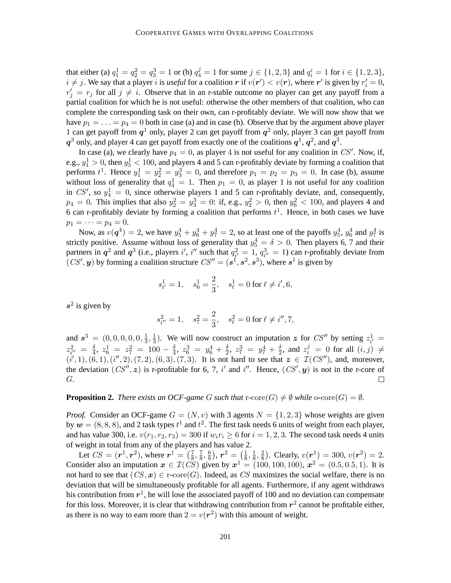that either (a)  $q_1^1 = q_2^2 = q_3^3 = 1$  or (b)  $q_4^j = 1$  for some  $j \in \{1, 2, 3\}$  and  $q_i^i = 1$  for  $i \in \{1, 2, 3\}$ ,  $i \neq j$ . We say that a player i is *useful* for a coalition r if  $v(r') < v(r)$ , where r' is given by  $r'_i = 0$ ,  $r'_j = r_j$  for all  $j \neq i$ . Observe that in an r-stable outcome no player can get any payoff from a partial coalition for which he is not useful: otherwise the other members of that coalition, who can complete the corresponding task on their own, can r-profitably deviate. We will now show that we have  $p_1 = \ldots = p_4 = 0$  both in case (a) and in case (b). Observe that by the argument above player 1 can get payoff from  $q<sup>1</sup>$  only, player 2 can get payoff from  $q<sup>2</sup>$  only, player 3 can get payoff from  $q^3$  only, and player 4 can get payoff from exactly one of the coalitions  $q^1$ ,  $q^2$ , and  $q^3$ .

In case (a), we clearly have  $p_4 = 0$ , as player 4 is not useful for any coalition in CS'. Now, if, e.g.,  $y_1^1 > 0$ , then  $y_5^1 < 100$ , and players 4 and 5 can r-profitably deviate by forming a coalition that performs  $t^1$ . Hence  $y_1^1 = y_2^2 = y_3^3 = 0$ , and therefore  $p_1 = p_2 = p_3 = 0$ . In case (b), assume without loss of generality that  $q_4^1 = 1$ . Then  $p_1 = 0$ , as player 1 is not useful for any coalition in CS', so  $y_4^1 = 0$ , since otherwise players 1 and 5 can r-profitably deviate, and, consequently,  $p_4 = 0$ . This implies that also  $y_2^2 = y_3^3 = 0$ : if, e.g.,  $y_2^2 > 0$ , then  $y_6^2 < 100$ , and players 4 and 6 can r-profitably deviate by forming a coalition that performs  $t<sup>1</sup>$ . Hence, in both cases we have  $p_1 = \cdots = p_4 = 0.$ 

Now, as  $v(\boldsymbol{q}^4) = 2$ , we have  $y_5^4 + y_6^4 + y_7^4 = 2$ , so at least one of the payoffs  $y_5^4$ ,  $y_6^4$  and  $y_7^4$  is strictly positive. Assume without loss of generality that  $y_5^4 = \delta > 0$ . Then players 6, 7 and their partners in  $q^2$  and  $q^3$  (i.e., players i', i'' such that  $q_{i'}^2 = 1$ ,  $q_{i''}^3 = 1$ ) can r-profitably deviate from  $(CS', y)$  by forming a coalition structure  $CS'' = (\mathbf{s}^1, \mathbf{s}^2, \mathbf{s}^3)$ , where  $\mathbf{s}^1$  is given by

$$
s_{i'}^1 = 1
$$
,  $s_6^1 = \frac{2}{3}$ ,  $s_\ell^1 = 0$  for  $\ell \neq i', 6$ ,

 $s^2$  is given by

$$
s_{i''}^2 = 1
$$
,  $s_7^2 = \frac{2}{3}$ ,  $s_\ell^2 = 0$  for  $\ell \neq i'', 7$ ,

and  $s^3 = (0, 0, 0, 0, 0, \frac{1}{3})$  $\frac{1}{3}, \frac{1}{3}$  $\frac{1}{3}$ ). We will now construct an imputation z for CS'' by setting  $z_{i'}^1$  =  $\frac{\delta}{2}$ , and  $z_i^j = 0$  for all  $(i, j) \neq j$  $z_{i^{\prime\prime}}^2 = \frac{\delta}{4}$  $\frac{\delta}{4}$ ,  $z_6^1 = z_7^2 = 100 - \frac{\delta}{4}$  $\frac{\delta}{4}, \; z_6^3 \; = \; y_6^4 \, + \, \frac{\delta}{2}$  $\frac{\delta}{2}$ ,  $z_7^3 = y_7^4 + \frac{\delta}{2}$  $(i', 1), (6, 1), (i'', 2), (7, 2), (6, 3), (7, 3)$ . It is not hard to see that  $z \in \mathcal{I}(CS'')$ , and, moreover, the deviation  $(CS'', z)$  is r-profitable for 6, 7, i' and i''. Hence,  $(CS', y)$  is not in the r-core of G. П

**Proposition 2.** *There exists an OCF-game G such that*  $r\text{-}core(G) \neq \emptyset$  *while*  $o\text{-}core(G) = \emptyset$ *.* 

*Proof.* Consider an OCF-game  $G = (N, v)$  with 3 agents  $N = \{1, 2, 3\}$  whose weights are given by  $w = (8, 8, 8)$ , and 2 task types  $t^1$  and  $t^2$ . The first task needs 6 units of weight from each player, and has value 300, i.e.  $v(r_1, r_2, r_3) = 300$  if  $w_i r_i \ge 6$  for  $i = 1, 2, 3$ . The second task needs 4 units of weight in total from any of the players and has value 2.

Let  $CS = (r^1, r^2)$ , where  $r^1 = (\frac{7}{8})$  $\frac{7}{8}, \frac{7}{8}$  $\frac{7}{8}, \frac{6}{8}$  $\left(\frac{6}{8}\right)$ ,  $\bm{r}^2 = \left(\frac{1}{8}\right)$  $\frac{1}{8}, \frac{1}{8}$  $\frac{1}{8}, \frac{2}{8}$  $(\frac{2}{8})$ . Clearly,  $v(r_{\text{o}}^1) = 300$ ,  $v(r^2) = 2$ . Consider also an imputation  $x \in \mathcal{I}(CS)$  given by  $x^1 = (100, 100, 100)$ ,  $x^2 = (0.5, 0.5, 1)$ . It is not hard to see that  $(CS, x) \in \text{r-core}(G)$ . Indeed, as CS maximizes the social welfare, there is no deviation that will be simultaneously profitable for all agents. Furthermore, if any agent withdraws his contribution from  $r^1$ , he will lose the associated payoff of 100 and no deviation can compensate for this loss. Moreover, it is clear that withdrawing contribution from  $r^2$  cannot be profitable either, as there is no way to earn more than  $2 = v(r^2)$  with this amount of weight.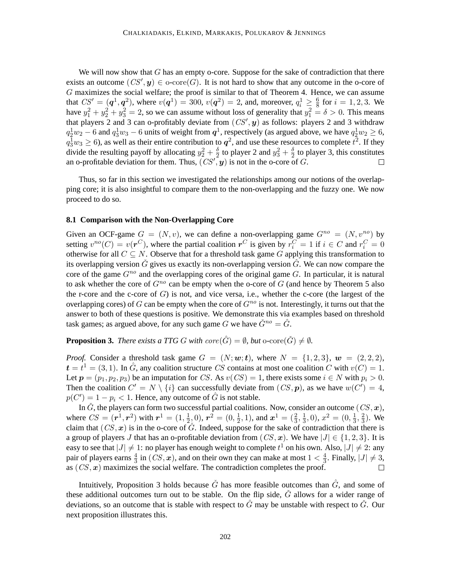We will now show that  $G$  has an empty o-core. Suppose for the sake of contradiction that there exists an outcome  $(CS', y) \in \text{o-core}(G)$ . It is not hard to show that any outcome in the o-core of G maximizes the social welfare; the proof is similar to that of Theorem 4. Hence, we can assume that  $CS' = (q^1, q^2)$ , where  $v(q^1) = 300$ ,  $v(q^2) = 2$ , and, moreover,  $q_i^1 \ge \frac{6}{8}$  for  $i = 1, 2, 3$ . We have  $y_1^2 + y_2^2 + y_3^2 = 2$ , so we can assume without loss of generality that  $y_1^2 = \delta > 0$ . This means that players 2 and 3 can o-profitably deviate from  $(CS', y)$  as follows: players 2 and 3 withdraw  $q_2^1 w_2 - 6$  and  $q_3^1 w_3 - 6$  units of weight from  $q_1^1$ , respectively (as argued above, we have  $q_2^1 w_2 \ge 6$ ,  $q_3^1 w_3 \ge 6$ ), as well as their entire contribution to  $q^2$ , and use these resources to complete  $t^2$ . If they divide the resulting payoff by allocating  $y_2^2 + \frac{\delta}{2}$  $\frac{\delta}{2}$  to player 2 and  $y_3^2 + \frac{\delta}{2}$  $\frac{0}{2}$  to player 3, this constitutes an o-profitable deviation for them. Thus,  $(CS', y)$  is not in the o-core of G.

Thus, so far in this section we investigated the relationships among our notions of the overlapping core; it is also insightful to compare them to the non-overlapping and the fuzzy one. We now proceed to do so.

#### **8.1 Comparison with the Non-Overlapping Core**

Given an OCF-game  $G = (N, v)$ , we can define a non-overlapping game  $G^{no} = (N, v^{no})$  by setting  $v^{no}(C) = v(\mathbf{r}^C)$ , where the partial coalition  $\mathbf{r}^C$  is given by  $r_i^C = 1$  if  $i \in C$  and  $r_i^C = 0$ otherwise for all  $C \subseteq N$ . Observe that for a threshold task game G applying this transformation to its overlapping version  $\check{G}$  gives us exactly its non-overlapping version  $\hat{G}$ . We can now compare the core of the game  $G^{no}$  and the overlapping cores of the original game G. In particular, it is natural to ask whether the core of  $G^{no}$  can be empty when the o-core of G (and hence by Theorem 5 also the r-core and the c-core of  $G$ ) is not, and vice versa, i.e., whether the c-core (the largest of the overlapping cores) of G can be empty when the core of  $G^{no}$  is not. Interestingly, it turns out that the answer to both of these questions is positive. We demonstrate this via examples based on threshold task games; as argued above, for any such game G we have  $\check{G}^{no} = \hat{G}$ .

**Proposition 3.** *There exists a TTG G with core* $(\hat{G}) = \emptyset$ *, but* o-core $(\check{G}) \neq \emptyset$ *.* 

*Proof.* Consider a threshold task game  $G = (N; \mathbf{w}; \mathbf{t})$ , where  $N = \{1, 2, 3\}$ ,  $\mathbf{w} = (2, 2, 2)$ ,  $t = t<sup>1</sup> = (3, 1)$ . In  $\hat{G}$ , any coalition structure CS contains at most one coalition C with  $v(C) = 1$ . Let  $p = (p_1, p_2, p_3)$  be an imputation for CS. As  $v(CS) = 1$ , there exists some  $i \in N$  with  $p_i > 0$ . Then the coalition  $C' = N \setminus \{i\}$  can successfully deviate from  $(CS, p)$ , as we have  $w(C') = 4$ ,  $p(C') = 1 - p_i < 1$ . Hence, any outcome of  $\hat{G}$  is not stable.

In  $\check{G}$ , the players can form two successful partial coalitions. Now, consider an outcome  $(CS, x)$ , where  $CS = (r^1, r^2)$  with  $r^1 = (1, \frac{1}{2})$  $(\frac{1}{2},0)$ ,  $\bm{r}^2=(0,\frac{1}{2})$  $(\frac{1}{2}, 1)$ , and  $x^1 = (\frac{2}{3}, \frac{1}{3})$  $\frac{1}{3}$ , 0),  $x^2 = (0, \frac{1}{3})$  $\frac{1}{3}, \frac{2}{3}$  $\frac{2}{3}$ ). We claim that  $(CS, x)$  is in the o-core of  $\check{G}$ . Indeed, suppose for the sake of contradiction that there is a group of players J that has an o-profitable deviation from  $(CS, x)$ . We have  $|J| \in \{1, 2, 3\}$ . It is easy to see that  $|J| \neq 1$ : no player has enough weight to complete  $t^1$  on his own. Also,  $|J| \neq 2$ : any pair of players earns  $\frac{4}{3}$  in  $(CS, x)$ , and on their own they can make at most  $1 < \frac{4}{3}$  $\frac{4}{3}$ . Finally,  $|J| \neq 3$ , as  $(CS, x)$  maximizes the social welfare. The contradiction completes the proof.  $\Box$ 

Intuitively, Proposition 3 holds because  $\check{G}$  has more feasible outcomes than  $\hat{G}$ , and some of these additional outcomes turn out to be stable. On the flip side,  $\check{G}$  allows for a wider range of deviations, so an outcome that is stable with respect to  $\hat{G}$  may be unstable with respect to  $\check{G}$ . Our next proposition illustrates this.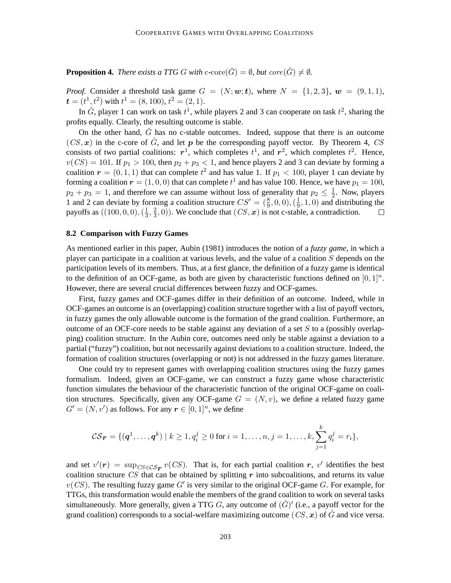**Proposition 4.** *There exists a TTG* G with c-core( $\check{G}$ ) =  $\emptyset$ *, but core(* $\hat{G}$ *)*  $\neq \emptyset$ *.* 

*Proof.* Consider a threshold task game  $G = (N; \mathbf{w}; \mathbf{t})$ , where  $N = \{1, 2, 3\}$ ,  $\mathbf{w} = (9, 1, 1)$ ,  $t = (t^1, t^2)$  with  $t^1 = (8, 100), t^2 = (2, 1)$ .

In  $\hat{G}$ , player 1 can work on task  $t^1$ , while players 2 and 3 can cooperate on task  $t^2$ , sharing the profits equally. Clearly, the resulting outcome is stable.

On the other hand,  $\check{G}$  has no c-stable outcomes. Indeed, suppose that there is an outcome  $(CS, x)$  in the c-core of  $\check{G}$ , and let p be the corresponding payoff vector. By Theorem 4, CS consists of two partial coalitions:  $r^1$ , which completes  $t^1$ , and  $r^2$ , which completes  $t^2$ . Hence,  $v(CS) = 101$ . If  $p_1 > 100$ , then  $p_2 + p_3 < 1$ , and hence players 2 and 3 can deviate by forming a coalition  $r = (0, 1, 1)$  that can complete  $t^2$  and has value 1. If  $p_1 < 100$ , player 1 can deviate by forming a coalition  $\boldsymbol{r} = (1,0,0)$  that can complete  $t^1$  and has value 100. Hence, we have  $p_1 = 100$ ,  $p_2 + p_3 = 1$ , and therefore we can assume without loss of generality that  $p_2 \leq \frac{1}{2}$  $\frac{1}{2}$ . Now, players 1 and 2 can deviate by forming a coalition structure  $CS' = (\frac{8}{9}, 0, 0), (\frac{1}{9})$  $\frac{1}{9}$ , 1, 0) and distributing the payoffs as  $((100, 0, 0), (\frac{1}{3})$  $\frac{1}{3}, \frac{2}{3}$  $(\frac{2}{3}, 0)$ ). We conclude that  $(CS, x)$  is not c-stable, a contradiction.  $\Box$ 

#### **8.2 Comparison with Fuzzy Games**

As mentioned earlier in this paper, Aubin (1981) introduces the notion of a *fuzzy game*, in which a player can participate in a coalition at various levels, and the value of a coalition S depends on the participation levels of its members. Thus, at a first glance, the definition of a fuzzy game is identical to the definition of an OCF-game, as both are given by characteristic functions defined on  $[0, 1]^n$ . However, there are several crucial differences between fuzzy and OCF-games.

First, fuzzy games and OCF-games differ in their definition of an outcome. Indeed, while in OCF-games an outcome is an (overlapping) coalition structure together with a list of payoff vectors, in fuzzy games the only allowable outcome is the formation of the grand coalition. Furthermore, an outcome of an OCF-core needs to be stable against any deviation of a set  $S$  to a (possibly overlapping) coalition structure. In the Aubin core, outcomes need only be stable against a deviation to a partial ("fuzzy") coalition, but not necessarily against deviations to a coalition structure. Indeed, the formation of coalition structures (overlapping or not) is not addressed in the fuzzy games literature.

One could try to represent games with overlapping coalition structures using the fuzzy games formalism. Indeed, given an OCF-game, we can construct a fuzzy game whose characteristic function simulates the behaviour of the characteristic function of the original OCF-game on coalition structures. Specifically, given any OCF-game  $G = (N, v)$ , we define a related fuzzy game  $G' = (N, v')$  as follows. For any  $r \in [0, 1]^n$ , we define

$$
\mathcal{CS}_{\boldsymbol{r}} = \{(\boldsymbol{q}^1,\ldots,\boldsymbol{q}^k) \mid k \geq 1, q_i^j \geq 0 \text{ for } i = 1,\ldots,n, j = 1,\ldots,k, \sum_{j=1}^k q_i^j = r_i\},\
$$

and set  $v'(r) = \sup_{CS \in \mathcal{CS}_r} v(CS)$ . That is, for each partial coalition r, v' identifies the best coalition structure CS that can be obtained by splitting  $r$  into subcoalitions, and returns its value  $v(CS)$ . The resulting fuzzy game G' is very similar to the original OCF-game G. For example, for TTGs, this transformation would enable the members of the grand coalition to work on several tasks simultaneously. More generally, given a TTG G, any outcome of  $(\check{G})'$  (i.e., a payoff vector for the grand coalition) corresponds to a social-welfare maximizing outcome ( $CS, x$ ) of  $\tilde{G}$  and vice versa.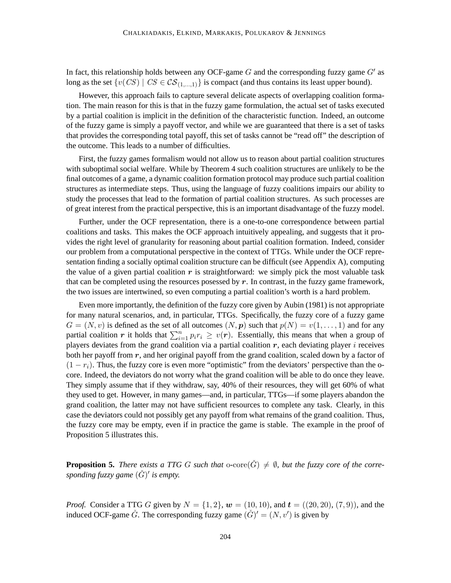In fact, this relationship holds between any OCF-game  $G$  and the corresponding fuzzy game  $G'$  as long as the set  $\{v(CS) \mid CS \in \mathcal{CS}_{(1,\ldots,1)}\}$  is compact (and thus contains its least upper bound).

However, this approach fails to capture several delicate aspects of overlapping coalition formation. The main reason for this is that in the fuzzy game formulation, the actual set of tasks executed by a partial coalition is implicit in the definition of the characteristic function. Indeed, an outcome of the fuzzy game is simply a payoff vector, and while we are guaranteed that there is a set of tasks that provides the corresponding total payoff, this set of tasks cannot be "read off" the description of the outcome. This leads to a number of difficulties.

First, the fuzzy games formalism would not allow us to reason about partial coalition structures with suboptimal social welfare. While by Theorem 4 such coalition structures are unlikely to be the final outcomes of a game, a dynamic coalition formation protocol may produce such partial coalition structures as intermediate steps. Thus, using the language of fuzzy coalitions impairs our ability to study the processes that lead to the formation of partial coalition structures. As such processes are of great interest from the practical perspective, this is an important disadvantage of the fuzzy model.

Further, under the OCF representation, there is a one-to-one correspondence between partial coalitions and tasks. This makes the OCF approach intuitively appealing, and suggests that it provides the right level of granularity for reasoning about partial coalition formation. Indeed, consider our problem from a computational perspective in the context of TTGs. While under the OCF representation finding a socially optimal coalition structure can be difficult (see Appendix A), computing the value of a given partial coalition  $r$  is straightforward: we simply pick the most valuable task that can be completed using the resources posessed by  $r$ . In contrast, in the fuzzy game framework, the two issues are intertwined, so even computing a partial coalition's worth is a hard problem.

Even more importantly, the definition of the fuzzy core given by Aubin (1981) is not appropriate for many natural scenarios, and, in particular, TTGs. Specifically, the fuzzy core of a fuzzy game  $G = (N, v)$  is defined as the set of all outcomes  $(N, p)$  such that  $p(N) = v(1, \ldots, 1)$  and for any partial coalition r it holds that  $\sum_{i=1}^{n} p_i r_i \ge v(r)$ . Essentially, this means that when a group of players deviates from the grand coalition via a partial coalition  $r$ , each deviating player  $i$  receives both her payoff from  $r$ , and her original payoff from the grand coalition, scaled down by a factor of  $(1 - r_i)$ . Thus, the fuzzy core is even more "optimistic" from the deviators' perspective than the ocore. Indeed, the deviators do not worry what the grand coalition will be able to do once they leave. They simply assume that if they withdraw, say, 40% of their resources, they will get 60% of what they used to get. However, in many games—and, in particular, TTGs—if some players abandon the grand coalition, the latter may not have sufficient resources to complete any task. Clearly, in this case the deviators could not possibly get any payoff from what remains of the grand coalition. Thus, the fuzzy core may be empty, even if in practice the game is stable. The example in the proof of Proposition 5 illustrates this.

**Proposition 5.** *There exists a TTG G such that*  $o\text{-core}(\check{G}) \neq \emptyset$ , but the fuzzy core of the corre*sponding fuzzy game* (Gˇ) ′ *is empty.*

*Proof.* Consider a TTG G given by  $N = \{1, 2\}$ ,  $w = (10, 10)$ , and  $t = ((20, 20), (7, 9))$ , and the induced OCF-game  $\check{G}$ . The corresponding fuzzy game  $(\check{G})' = (N, v')$  is given by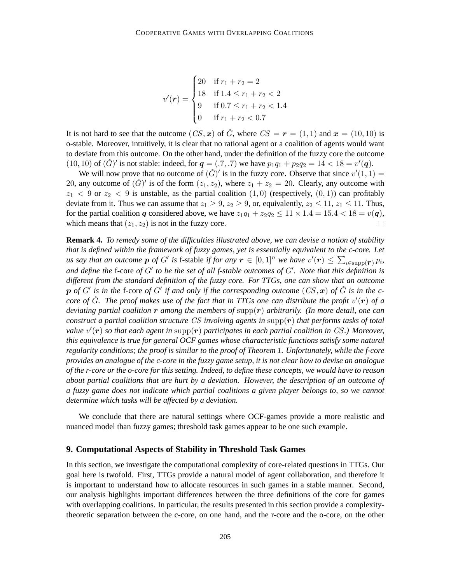$$
v'(\mathbf{r}) = \begin{cases} 20 & \text{if } r_1 + r_2 = 2 \\ 18 & \text{if } 1.4 \le r_1 + r_2 < 2 \\ 9 & \text{if } 0.7 \le r_1 + r_2 < 1.4 \\ 0 & \text{if } r_1 + r_2 < 0.7 \end{cases}
$$

It is not hard to see that the outcome  $(CS, x)$  of  $\check{G}$ , where  $CS = r = (1, 1)$  and  $x = (10, 10)$  is o-stable. Moreover, intuitively, it is clear that no rational agent or a coalition of agents would want to deviate from this outcome. On the other hand, under the definition of the fuzzy core the outcome (10, 10) of  $(\check{G})'$  is not stable: indeed, for  $q = (.7, .7)$  we have  $p_1q_1 + p_2q_2 = 14 < 18 = v'(q)$ .

We will now prove that *no* outcome of  $(\check{G})'$  is in the fuzzy core. Observe that since  $v'(1, 1) =$ 20, any outcome of  $(\check{G})'$  is of the form  $(z_1, z_2)$ , where  $z_1 + z_2 = 20$ . Clearly, any outcome with  $z_1$  < 9 or  $z_2$  < 9 is unstable, as the partial coalition  $(1,0)$  (respectively,  $(0,1)$ ) can profitably deviate from it. Thus we can assume that  $z_1 \geq 9$ ,  $z_2 \geq 9$ , or, equivalently,  $z_2 \leq 11$ ,  $z_1 \leq 11$ . Thus, for the partial coalition q considered above, we have  $z_1q_1 + z_2q_2 \le 11 \times 1.4 = 15.4 < 18 = v(q)$ , which means that  $(z_1, z_2)$  is not in the fuzzy core.  $\Box$ 

**Remark 4.** *To remedy some of the difficulties illustrated above, we can devise a notion of stability that is defined within the framework of fuzzy games, yet is essentially equivalent to the c-core. Let us say that an outcome*  $p$  *of*  $G'$  *is* f-stable *if for any*  $r \in [0,1]^n$  *we have*  $v'(r) \leq \sum_{i \in \text{supp}(r)} p_i$ *, and define the* f-core *of* G′ *to be the set of all f-stable outcomes of* G′ *. Note that this definition is different from the standard definition of the fuzzy core. For TTGs, one can show that an outcome*  $p$  of  $G'$  is in the f-core of  $G'$  if and only if the corresponding outcome  $(CS, x)$  of  $\check{G}$  is in the ccore of  $\check{G}$ *. The proof makes use of the fact that in TTGs one can distribute the profit*  $v'(\mathbf{r})$  of a *deviating partial coalition* r *among the members of* supp(r) *arbitrarily. (In more detail, one can construct a partial coalition structure* CS *involving agents in* supp(r) *that performs tasks of total value* v ′ (r) *so that each agent in* supp(r) *participates in each partial coalition in* CS*.) Moreover, this equivalence is true for general OCF games whose characteristic functions satisfy some natural regularity conditions; the proof is similar to the proof of Theorem 1. Unfortunately, while the f-core provides an analogue of the c-core in the fuzzy game setup, it is not clear how to devise an analogue of the r-core or the o-core for this setting. Indeed, to define these concepts, we would have to reason about partial coalitions that are hurt by a deviation. However, the description of an outcome of a fuzzy game does not indicate which partial coalitions a given player belongs to, so we cannot determine which tasks will be affected by a deviation.*

We conclude that there are natural settings where OCF-games provide a more realistic and nuanced model than fuzzy games; threshold task games appear to be one such example.

# **9. Computational Aspects of Stability in Threshold Task Games**

In this section, we investigate the computational complexity of core-related questions in TTGs. Our goal here is twofold. First, TTGs provide a natural model of agent collaboration, and therefore it is important to understand how to allocate resources in such games in a stable manner. Second, our analysis highlights important differences between the three definitions of the core for games with overlapping coalitions. In particular, the results presented in this section provide a complexitytheoretic separation between the c-core, on one hand, and the r-core and the o-core, on the other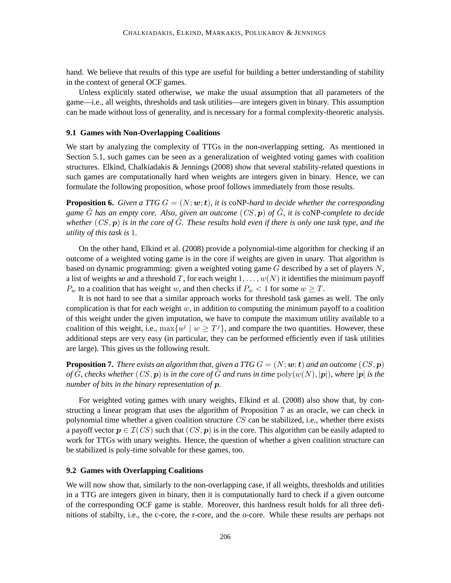hand. We believe that results of this type are useful for building a better understanding of stability in the context of general OCF games.

Unless explicitly stated otherwise, we make the usual assumption that all parameters of the game—i.e., all weights, thresholds and task utilities—are integers given in binary. This assumption can be made without loss of generality, and is necessary for a formal complexity-theoretic analysis.

### **9.1 Games with Non-Overlapping Coalitions**

We start by analyzing the complexity of TTGs in the non-overlapping setting. As mentioned in Section 5.1, such games can be seen as a generalization of weighted voting games with coalition structures. Elkind, Chalkiadakis & Jennings (2008) show that several stability-related questions in such games are computationally hard when weights are integers given in binary. Hence, we can formulate the following proposition, whose proof follows immediately from those results.

**Proposition 6.** *Given a TTG*  $G = (N; \mathbf{w}; t)$ *, it is coNP-hard to decide whether the corresponding game* Gˆ *has an empty core. Also, given an outcome* (CS, p) *of* Gˆ*, it is* coNP*-complete to decide whether*  $(CS, p)$  *is in the core of*  $\hat{G}$ *. These results hold even if there is only one task type, and the utility of this task is* 1*.*

On the other hand, Elkind et al. (2008) provide a polynomial-time algorithm for checking if an outcome of a weighted voting game is in the core if weights are given in unary. That algorithm is based on dynamic programming: given a weighted voting game  $G$  described by a set of players  $N$ , a list of weights w and a threshold T, for each weight  $1, \ldots, w(N)$  it identifies the minimum payoff  $P_w$  to a coalition that has weight w, and then checks if  $P_w < 1$  for some  $w \geq T$ .

It is not hard to see that a similar approach works for threshold task games as well. The only complication is that for each weight  $w$ , in addition to computing the minimum payoff to a coalition of this weight under the given imputation, we have to compute the maximum utility available to a coalition of this weight, i.e.,  $\max\{u^j \mid w \geq T^j\}$ , and compare the two quantities. However, these additional steps are very easy (in particular, they can be performed efficiently even if task utilities are large). This gives us the following result.

**Proposition 7.** *There exists an algorithm that, given a TTG*  $G = (N; w; t)$  *and an outcome*  $(CS, p)$ *of* G, checks whether  $(CS, p)$  *is in the core of* G and runs in time  $poly(w(N), |p|)$ *, where*  $|p|$  *is the number of bits in the binary representation of* p*.*

For weighted voting games with unary weights, Elkind et al. (2008) also show that, by constructing a linear program that uses the algorithm of Proposition 7 as an oracle, we can check in polynomial time whether a given coalition structure CS can be stabilized, i.e., whether there exists a payoff vector  $p \in \mathcal{I}(CS)$  such that  $(CS, p)$  is in the core. This algorithm can be easily adapted to work for TTGs with unary weights. Hence, the question of whether a given coalition structure can be stabilized is poly-time solvable for these games, too.

# **9.2 Games with Overlapping Coalitions**

We will now show that, similarly to the non-overlapping case, if all weights, thresholds and utilities in a TTG are integers given in binary, then it is computationally hard to check if a given outcome of the corresponding OCF game is stable. Moreover, this hardness result holds for all three definitions of stabilty, i.e., the c-core, the r-core, and the o-core. While these results are perhaps not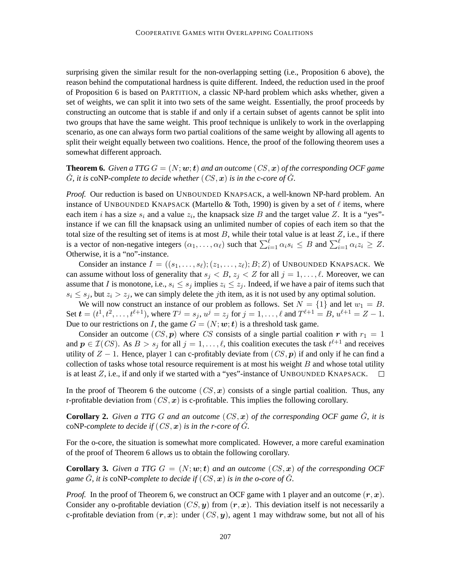surprising given the similar result for the non-overlapping setting (i.e., Proposition 6 above), the reason behind the computational hardness is quite different. Indeed, the reduction used in the proof of Proposition 6 is based on PARTITION, a classic NP-hard problem which asks whether, given a set of weights, we can split it into two sets of the same weight. Essentially, the proof proceeds by constructing an outcome that is stable if and only if a certain subset of agents cannot be split into two groups that have the same weight. This proof technique is unlikely to work in the overlapping scenario, as one can always form two partial coalitions of the same weight by allowing all agents to split their weight equally between two coalitions. Hence, the proof of the following theorem uses a somewhat different approach.

**Theorem 6.** *Given a TTG*  $G = (N; \boldsymbol{w}; \boldsymbol{t})$  *and an outcome*  $(CS, \boldsymbol{x})$  *of the corresponding OCF game*  $\check{G}$ *, it is* coNP-complete to decide whether  $(CS, x)$  is in the c-core of  $\check{G}$ *.* 

*Proof.* Our reduction is based on UNBOUNDED KNAPSACK, a well-known NP-hard problem. An instance of UNBOUNDED KNAPSACK (Martello & Toth, 1990) is given by a set of  $\ell$  items, where each item *i* has a size  $s_i$  and a value  $z_i$ , the knapsack size B and the target value Z. It is a "yes"instance if we can fill the knapsack using an unlimited number of copies of each item so that the total size of the resulting set of items is at most  $B$ , while their total value is at least  $Z$ , i.e., if there is a vector of non-negative integers  $(\alpha_1, \dots, \alpha_\ell)$  such that  $\sum_{i=1}^\ell \alpha_i s_i \leq B$  and  $\sum_{i=1}^\ell \alpha_i z_i \geq Z$ . Otherwise, it is a "no"-instance.

Consider an instance  $I = ((s_1, \ldots, s_\ell); (z_1, \ldots, z_\ell); B; Z)$  of UNBOUNDED KNAPSACK. We can assume without loss of generality that  $s_j < B$ ,  $z_j < Z$  for all  $j = 1, \ldots, \ell$ . Moreover, we can assume that I is monotone, i.e.,  $s_i \leq s_j$  implies  $z_i \leq z_j$ . Indeed, if we have a pair of items such that  $s_i \leq s_j$ , but  $z_i > z_j$ , we can simply delete the *j*th item, as it is not used by any optimal solution.

We will now construct an instance of our problem as follows. Set  $N = \{1\}$  and let  $w_1 = B$ . Set  $t = (t^1, t^2, \dots, t^{\ell+1})$ , where  $T^j = s_j$ ,  $u^j = z_j$  for  $j = 1, \dots, \ell$  and  $T^{\ell+1} = B$ ,  $u^{\ell+1} = Z - 1$ . Due to our restrictions on I, the game  $G = (N; \omega; t)$  is a threshold task game.

Consider an outcome  $(CS, p)$  where CS consists of a single partial coalition r with  $r_1 = 1$ and  $p \in \mathcal{I}(CS)$ . As  $B > s_j$  for all  $j = 1, \ldots, \ell$ , this coalition executes the task  $t^{\ell+1}$  and receives utility of  $Z - 1$ . Hence, player 1 can c-profitably deviate from  $(CS, p)$  if and only if he can find a collection of tasks whose total resource requirement is at most his weight  $B$  and whose total utility is at least  $Z$ , i.e., if and only if we started with a "yes"-instance of UNBOUNDED KNAPSACK.  $\Box$ 

In the proof of Theorem 6 the outcome  $(CS, x)$  consists of a single partial coalition. Thus, any r-profitable deviation from  $(CS, x)$  is c-profitable. This implies the following corollary.

**Corollary 2.** Given a TTG G and an outcome  $(CS, x)$  of the corresponding OCF game  $\tilde{G}$ , it is coNP-complete to decide if  $(CS, x)$  is in the r-core of  $\tilde{G}$ *.* 

For the o-core, the situation is somewhat more complicated. However, a more careful examination of the proof of Theorem 6 allows us to obtain the following corollary.

**Corollary 3.** Given a TTG  $G = (N; w; t)$  and an outcome  $(CS, x)$  of the corresponding OCF *game*  $\tilde{G}$ *, it is* coNP-complete to decide if  $(CS, x)$  *is in the o-core of*  $\tilde{G}$ *.* 

*Proof.* In the proof of Theorem 6, we construct an OCF game with 1 player and an outcome  $(r, x)$ . Consider any o-profitable deviation  $(CS, y)$  from  $(r, x)$ . This deviation itself is not necessarily a c-profitable deviation from  $(r, x)$ : under  $(CS, y)$ , agent 1 may withdraw some, but not all of his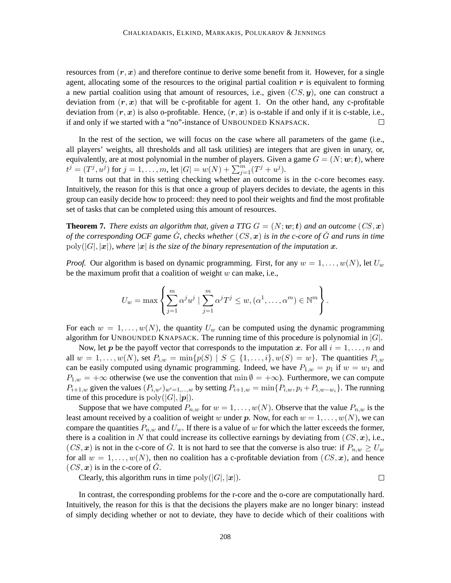resources from  $(r, x)$  and therefore continue to derive some benefit from it. However, for a single agent, allocating some of the resources to the original partial coalition  $r$  is equivalent to forming a new partial coalition using that amount of resources, i.e., given  $(CS, y)$ , one can construct a deviation from  $(r, x)$  that will be c-profitable for agent 1. On the other hand, any c-profitable deviation from  $(r, x)$  is also o-profitable. Hence,  $(r, x)$  is o-stable if and only if it is c-stable, i.e., if and only if we started with a "no"-instance of UNBOUNDED KNAPSACK.  $\Box$ 

In the rest of the section, we will focus on the case where all parameters of the game (i.e., all players' weights, all thresholds and all task utilities) are integers that are given in unary, or, equivalently, are at most polynomial in the number of players. Given a game  $G = (N; w; t)$ , where  $t^{j} = (T^{j}, u^{j})$  for  $j = 1, ..., m$ , let  $|G| = w(N) + \sum_{j=1}^{m} (T^{j} + u^{j}).$ 

It turns out that in this setting checking whether an outcome is in the c-core becomes easy. Intuitively, the reason for this is that once a group of players decides to deviate, the agents in this group can easily decide how to proceed: they need to pool their weights and find the most profitable set of tasks that can be completed using this amount of resources.

**Theorem 7.** *There exists an algorithm that, given a TTG*  $G = (N; \omega; t)$  *and an outcome*  $(CS, x)$ *of the corresponding OCF game* Gˇ*, checks whether* (CS, x) *is in the c-core of* Gˇ *and runs in time*  $poly(|G|, |\boldsymbol{x}|)$ *, where*  $|\boldsymbol{x}|$  *is the size of the binary representation of the imputation*  $\boldsymbol{x}$ *.* 

*Proof.* Our algorithm is based on dynamic programming. First, for any  $w = 1, \ldots, w(N)$ , let  $U_w$ be the maximum profit that a coalition of weight  $w$  can make, i.e.,

$$
U_w = \max \left\{ \sum_{j=1}^m \alpha^j u^j \mid \sum_{j=1}^m \alpha^j T^j \leq w, (\alpha^1, \dots, \alpha^m) \in \mathbb{N}^m \right\}.
$$

For each  $w = 1, \ldots, w(N)$ , the quantity  $U_w$  can be computed using the dynamic programming algorithm for UNBOUNDED KNAPSACK. The running time of this procedure is polynomial in  $|G|$ .

Now, let p be the payoff vector that corresponds to the imputation x. For all  $i = 1, \ldots, n$  and all  $w = 1, ..., w(N)$ , set  $P_{i,w} = \min\{p(S) | S \subseteq \{1, ..., i\}, w(S) = w\}$ . The quantities  $P_{i,w}$ can be easily computed using dynamic programming. Indeed, we have  $P_{1,w} = p_1$  if  $w = w_1$  and  $P_{1,w} = +\infty$  otherwise (we use the convention that min  $\emptyset = +\infty$ ). Furthermore, we can compute  $P_{i+1,w}$  given the values  $(P_{i,w'})_{w'=1,\dots,w}$  by setting  $P_{i+1,w} = \min\{P_{i,w}, p_i + P_{i,w-w_i}\}\.$  The running time of this procedure is  $poly(|G|, |p|)$ .

Suppose that we have computed  $P_{n,w}$  for  $w = 1, \ldots, w(N)$ . Observe that the value  $P_{n,w}$  is the least amount received by a coalition of weight w under p. Now, for each  $w = 1, \ldots, w(N)$ , we can compare the quantities  $P_{n,w}$  and  $U_w$ . If there is a value of w for which the latter exceeds the former, there is a coalition in N that could increase its collective earnings by deviating from  $(CS, x)$ , i.e.,  $(CS, x)$  is not in the c-core of G. It is not hard to see that the converse is also true: if  $P_{n,w} \ge U_w$ for all  $w = 1, \ldots, w(N)$ , then no coalition has a c-profitable deviation from  $(CS, x)$ , and hence  $(CS, x)$  is in the c-core of  $\tilde{G}$ .

Clearly, this algorithm runs in time  $poly(|G|, |\boldsymbol{x}|)$ .

 $\Box$ 

In contrast, the corresponding problems for the r-core and the o-core are computationally hard. Intuitively, the reason for this is that the decisions the players make are no longer binary: instead of simply deciding whether or not to deviate, they have to decide which of their coalitions with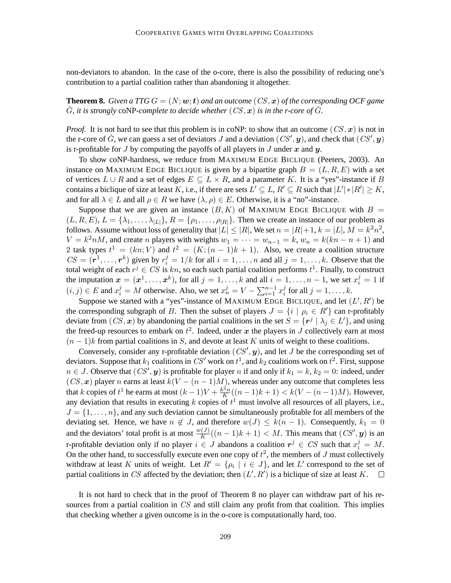non-deviators to abandon. In the case of the o-core, there is also the possibility of reducing one's contribution to a partial coalition rather than abandoning it altogether.

**Theorem 8.** *Given a TTG*  $G = (N; w; t)$  *and an outcome*  $(CS, x)$  *of the corresponding OCF game*  $\check{G}$ , it is strongly coNP-complete to decide whether  $(CS, x)$  is in the r-core of  $\check{G}$ .

*Proof.* It is not hard to see that this problem is in coNP: to show that an outcome  $(CS, x)$  is not in the r-core of  $\check{G}$ , we can guess a set of deviators J and a deviation  $(CS', y)$ , and check that  $(CS', y)$ is r-profitable for  $J$  by computing the payoffs of all players in  $J$  under  $x$  and  $y$ .

To show coNP-hardness, we reduce from MAXIMUM EDGE BICLIQUE (Peeters, 2003). An instance on MAXIMUM EDGE BICLIQUE is given by a bipartite graph  $B = (L, R, E)$  with a set of vertices  $L \cup R$  and a set of edges  $E \subseteq L \times R$ , and a parameter K. It is a "yes"-instance if B contains a biclique of size at least K, i.e., if there are sets  $L' \subseteq L$ ,  $R' \subseteq R$  such that  $|L'| * |R'| \ge K$ , and for all  $\lambda \in L$  and all  $\rho \in R$  we have  $(\lambda, \rho) \in E$ . Otherwise, it is a "no"-instance.

Suppose that we are given an instance  $(B, K)$  of MAXIMUM EDGE BICLIQUE with  $B =$  $(L, R, E), L = \{\lambda_1, \ldots, \lambda_{|L|}\}, R = \{\rho_1, \ldots, \rho_{|R|}\}.$  Then we create an instance of our problem as follows. Assume without loss of generality that  $|L| \leq |R|$ , We set  $n = |R| + 1$ ,  $k = |L|$ ,  $M = k^2 n^2$ ,  $V = k^2 nM$ , and create n players with weights  $w_1 = \cdots = w_{n-1} = k$ ,  $w_n = k(kn - n + 1)$  and 2 task types  $t^1 = (kn; V)$  and  $t^2 = (K; (n-1)k + 1)$ . Also, we create a coalition structure  $CS = (\mathbf{r}^1, \dots, \mathbf{r}^k)$  given by  $r_i^j = 1/k$  for all  $i = 1, \dots, n$  and all  $j = 1, \dots, k$ . Observe that the total weight of each  $r^j \in CS$  is  $kn$ , so each such partial coalition performs  $t^1$ . Finally, to construct the imputation  $\mathbf{x} = (\mathbf{x}^1, \dots, \mathbf{x}^k)$ , for all  $j = 1, \dots, k$  and all  $i = 1, \dots, n - 1$ , we set  $x_i^j = 1$  if  $(i, j) \in E$  and  $x_i^j = M$  otherwise. Also, we set  $x_n^j = V - \sum_{i=1}^{n-1} x_i^j$  $i<sub>i</sub>$  for all  $j = 1, \ldots, k$ .

Suppose we started with a "yes"-instance of MAXIMUM EDGE BICLIQUE, and let  $(L', R')$  be the corresponding subgraph of B. Then the subset of players  $J = \{i \mid \rho_i \in R'\}$  can r-profitably deviate from  $(CS, x)$  by abandoning the partial coalitions in the set  $S = \{r^j \mid \lambda_j \in L'\}$ , and using the freed-up resources to embark on  $t^2$ . Indeed, under x the players in J collectively earn at most  $(n - 1)$ k from partial coalitions in S, and devote at least K units of weight to these coalitions.

Conversely, consider any r-profitable deviation  $(CS', y)$ , and let J be the corresponding set of deviators. Suppose that  $k_1$  coalitions in  $CS'$  work on  $t^1$ , and  $k_2$  coalitions work on  $t^2$ . First, suppose  $n \in J$ . Observe that  $(CS', y)$  is profitable for player n if and only if  $k_1 = k$ ,  $k_2 = 0$ : indeed, under  $(CS, x)$  player n earns at least  $k(V - (n-1)M)$ , whereas under any outcome that completes less that k copies of t<sup>1</sup> he earns at most  $(k-1)V + \frac{k^2 n}{K}$  $\frac{f^{2n}}{K}((n-1)k+1) < k(V-(n-1)M)$ . However, any deviation that results in executing k copies of  $t<sup>1</sup>$  must involve all resources of all players, i.e.,  $J = \{1, \ldots, n\}$ , and any such deviation cannot be simultaneously profitable for all members of the deviating set. Hence, we have  $n \notin J$ , and therefore  $w(J) \leq k(n-1)$ . Consequently,  $k_1 = 0$ and the deviators' total profit is at most  $\frac{w(J)}{K}((n-1)k+1) < M$ . This means that  $(CS', \mathbf{y})$  is an r-profitable deviation only if no player  $i \in J$  abandons a coalition  $r^j \in CS$  such that  $x_i^j = M$ . On the other hand, to successfully execute even one copy of  $t^2$ , the members of J must collectively withdraw at least K units of weight. Let  $R' = \{ \rho_i \mid i \in J \}$ , and let L' correspond to the set of partial coalitions in CS affected by the deviation; then  $(L', R')$  is a biclique of size at least K.  $\Box$ 

It is not hard to check that in the proof of Theorem 8 no player can withdraw part of his resources from a partial coalition in CS and still claim any profit from that coalition. This implies that checking whether a given outcome is in the o-core is computationally hard, too.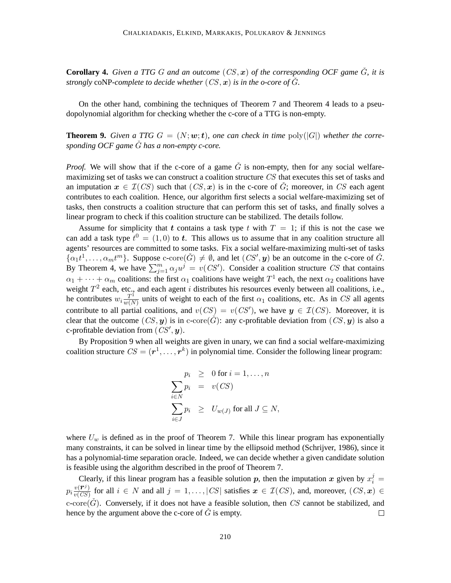**Corollary 4.** *Given a TTG G and an outcome*  $(CS, x)$  *of the corresponding OCF game*  $\check{G}$ *, it is strongly* coNP-complete to decide whether  $(CS, x)$  *is in the o-core of*  $\tilde{G}$ *.* 

On the other hand, combining the techniques of Theorem 7 and Theorem 4 leads to a pseudopolynomial algorithm for checking whether the c-core of a TTG is non-empty.

**Theorem 9.** *Given a TTG*  $G = (N; w; t)$ *, one can check in time*  $poly(|G|)$  *whether the corresponding OCF game* Gˇ *has a non-empty c-core.*

*Proof.* We will show that if the c-core of a game  $\check{G}$  is non-empty, then for any social welfaremaximizing set of tasks we can construct a coalition structure CS that executes this set of tasks and an imputation  $x \in \mathcal{I}(CS)$  such that  $(CS, x)$  is in the c-core of  $\check{G}$ ; moreover, in CS each agent contributes to each coalition. Hence, our algorithm first selects a social welfare-maximizing set of tasks, then constructs a coalition structure that can perform this set of tasks, and finally solves a linear program to check if this coalition structure can be stabilized. The details follow.

Assume for simplicity that t contains a task type t with  $T = 1$ ; if this is not the case we can add a task type  $t^0 = (1,0)$  to t. This allows us to assume that in any coalition structure all agents' resources are committed to some tasks. Fix a social welfare-maximizing multi-set of tasks  $\{\alpha_1 t^1, \dots, \alpha_m t^m\}$ . Suppose c-core $(\check{G}) \neq \emptyset$ , and let  $(CS', \mathbf{y})$  be an outcome in the c-core of  $\check{G}$ . By Theorem 4, we have  $\sum_{j=1}^{m} \alpha_j u^j = v(CS')$ . Consider a coalition structure CS that contains  $\alpha_1 + \cdots + \alpha_m$  coalitions: the first  $\alpha_1$  coalitions have weight  $T^1$  each, the next  $\alpha_2$  coalitions have weight  $T^2$  each, etc., and each agent i distributes his resources evenly between all coalitions, i.e., he contributes  $w_i \frac{T^i}{w(N_i)}$  $\frac{T^1}{w(N)}$  units of weight to each of the first  $\alpha_1$  coalitions, etc. As in CS all agents contribute to all partial coalitions, and  $v(CS) = v(CS')$ , we have  $y \in \mathcal{I}(CS)$ . Moreover, it is clear that the outcome  $(CS, y)$  is in c-core $(\check{G})$ : any c-profitable deviation from  $(CS, y)$  is also a c-profitable deviation from  $(CS', y)$ .

By Proposition 9 when all weights are given in unary, we can find a social welfare-maximizing coalition structure  $CS = (\mathbf{r}^1, \dots, \mathbf{r}^k)$  in polynomial time. Consider the following linear program:

$$
p_i \geq 0 \text{ for } i = 1, ..., n
$$
  
\n
$$
\sum_{i \in N} p_i = v(CS)
$$
  
\n
$$
\sum_{i \in J} p_i \geq U_{w(J)} \text{ for all } J \subseteq N,
$$

where  $U_w$  is defined as in the proof of Theorem 7. While this linear program has exponentially many constraints, it can be solved in linear time by the ellipsoid method (Schrijver, 1986), since it has a polynomial-time separation oracle. Indeed, we can decide whether a given candidate solution is feasible using the algorithm described in the proof of Theorem 7.

Clearly, if this linear program has a feasible solution p, then the imputation x given by  $x_i^j =$  $p_i \frac{v(\mathbf{r}^j)}{v(CS)}$  for all  $i \in N$  and all  $j = 1, \ldots, |CS|$  satisfies  $\mathbf{x} \in \mathcal{I}(CS)$ , and, moreover,  $(CS, \mathbf{x}) \in$ c-core( $\check{G}$ ). Conversely, if it does not have a feasible solution, then CS cannot be stabilized, and hence by the argument above the c-core of  $\check{G}$  is empty.  $\Box$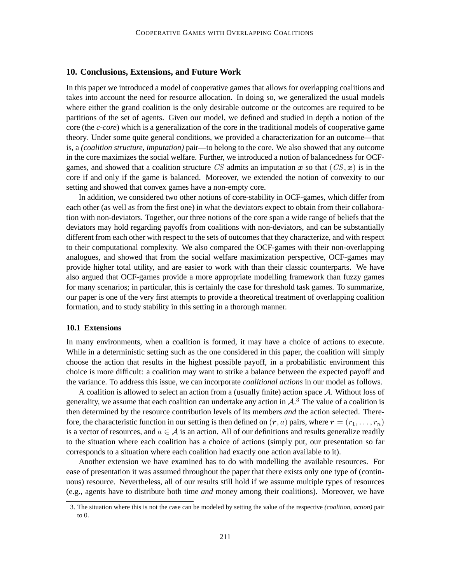# **10. Conclusions, Extensions, and Future Work**

In this paper we introduced a model of cooperative games that allows for overlapping coalitions and takes into account the need for resource allocation. In doing so, we generalized the usual models where either the grand coalition is the only desirable outcome or the outcomes are required to be partitions of the set of agents. Given our model, we defined and studied in depth a notion of the core (the *c-core*) which is a generalization of the core in the traditional models of cooperative game theory. Under some quite general conditions, we provided a characterization for an outcome—that is, a *(coalition structure, imputation)* pair—to belong to the core. We also showed that any outcome in the core maximizes the social welfare. Further, we introduced a notion of balancedness for OCFgames, and showed that a coalition structure CS admits an imputation x so that  $(CS, x)$  is in the core if and only if the game is balanced. Moreover, we extended the notion of convexity to our setting and showed that convex games have a non-empty core.

In addition, we considered two other notions of core-stability in OCF-games, which differ from each other (as well as from the first one) in what the deviators expect to obtain from their collaboration with non-deviators. Together, our three notions of the core span a wide range of beliefs that the deviators may hold regarding payoffs from coalitions with non-deviators, and can be substantially different from each other with respect to the sets of outcomes that they characterize, and with respect to their computational complexity. We also compared the OCF-games with their non-overlapping analogues, and showed that from the social welfare maximization perspective, OCF-games may provide higher total utility, and are easier to work with than their classic counterparts. We have also argued that OCF-games provide a more appropriate modelling framework than fuzzy games for many scenarios; in particular, this is certainly the case for threshold task games. To summarize, our paper is one of the very first attempts to provide a theoretical treatment of overlapping coalition formation, and to study stability in this setting in a thorough manner.

# **10.1 Extensions**

In many environments, when a coalition is formed, it may have a choice of actions to execute. While in a deterministic setting such as the one considered in this paper, the coalition will simply choose the action that results in the highest possible payoff, in a probabilistic environment this choice is more difficult: a coalition may want to strike a balance between the expected payoff and the variance. To address this issue, we can incorporate *coalitional actions* in our model as follows.

A coalition is allowed to select an action from a (usually finite) action space A. Without loss of generality, we assume that each coalition can undertake any action in  $A$ .<sup>3</sup> The value of a coalition is then determined by the resource contribution levels of its members *and* the action selected. Therefore, the characteristic function in our setting is then defined on  $(r, a)$  pairs, where  $r = (r_1, \ldots, r_n)$ is a vector of resources, and  $a \in \mathcal{A}$  is an action. All of our definitions and results generalize readily to the situation where each coalition has a choice of actions (simply put, our presentation so far corresponds to a situation where each coalition had exactly one action available to it).

Another extension we have examined has to do with modelling the available resources. For ease of presentation it was assumed throughout the paper that there exists only one type of (continuous) resource. Nevertheless, all of our results still hold if we assume multiple types of resources (e.g., agents have to distribute both time *and* money among their coalitions). Moreover, we have

<sup>3.</sup> The situation where this is not the case can be modeled by setting the value of the respective *(coalition, action)* pair to 0.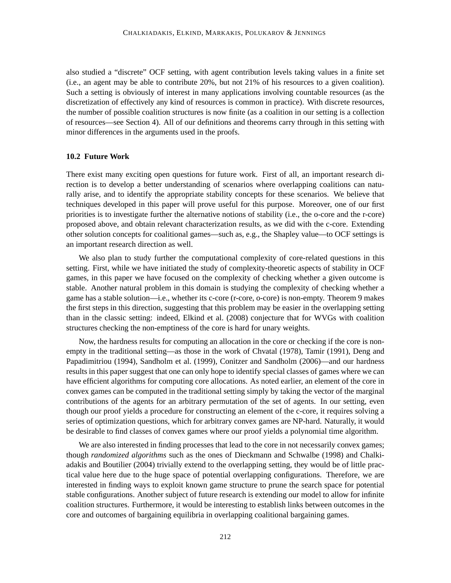also studied a "discrete" OCF setting, with agent contribution levels taking values in a finite set (i.e., an agent may be able to contribute 20%, but not 21% of his resources to a given coalition). Such a setting is obviously of interest in many applications involving countable resources (as the discretization of effectively any kind of resources is common in practice). With discrete resources, the number of possible coalition structures is now finite (as a coalition in our setting is a collection of resources—see Section 4). All of our definitions and theorems carry through in this setting with minor differences in the arguments used in the proofs.

# **10.2 Future Work**

There exist many exciting open questions for future work. First of all, an important research direction is to develop a better understanding of scenarios where overlapping coalitions can naturally arise, and to identify the appropriate stability concepts for these scenarios. We believe that techniques developed in this paper will prove useful for this purpose. Moreover, one of our first priorities is to investigate further the alternative notions of stability (i.e., the o-core and the r-core) proposed above, and obtain relevant characterization results, as we did with the c-core. Extending other solution concepts for coalitional games—such as, e.g., the Shapley value—to OCF settings is an important research direction as well.

We also plan to study further the computational complexity of core-related questions in this setting. First, while we have initiated the study of complexity-theoretic aspects of stability in OCF games, in this paper we have focused on the complexity of checking whether a given outcome is stable. Another natural problem in this domain is studying the complexity of checking whether a game has a stable solution—i.e., whether its c-core (r-core, o-core) is non-empty. Theorem 9 makes the first steps in this direction, suggesting that this problem may be easier in the overlapping setting than in the classic setting: indeed, Elkind et al. (2008) conjecture that for WVGs with coalition structures checking the non-emptiness of the core is hard for unary weights.

Now, the hardness results for computing an allocation in the core or checking if the core is nonempty in the traditional setting—as those in the work of Chvatal (1978), Tamir (1991), Deng and Papadimitriou (1994), Sandholm et al. (1999), Conitzer and Sandholm (2006)—and our hardness results in this paper suggest that one can only hope to identify special classes of games where we can have efficient algorithms for computing core allocations. As noted earlier, an element of the core in convex games can be computed in the traditional setting simply by taking the vector of the marginal contributions of the agents for an arbitrary permutation of the set of agents. In our setting, even though our proof yields a procedure for constructing an element of the c-core, it requires solving a series of optimization questions, which for arbitrary convex games are NP-hard. Naturally, it would be desirable to find classes of convex games where our proof yields a polynomial time algorithm.

We are also interested in finding processes that lead to the core in not necessarily convex games; though *randomized algorithms* such as the ones of Dieckmann and Schwalbe (1998) and Chalkiadakis and Boutilier (2004) trivially extend to the overlapping setting, they would be of little practical value here due to the huge space of potential overlapping configurations. Therefore, we are interested in finding ways to exploit known game structure to prune the search space for potential stable configurations. Another subject of future research is extending our model to allow for infinite coalition structures. Furthermore, it would be interesting to establish links between outcomes in the core and outcomes of bargaining equilibria in overlapping coalitional bargaining games.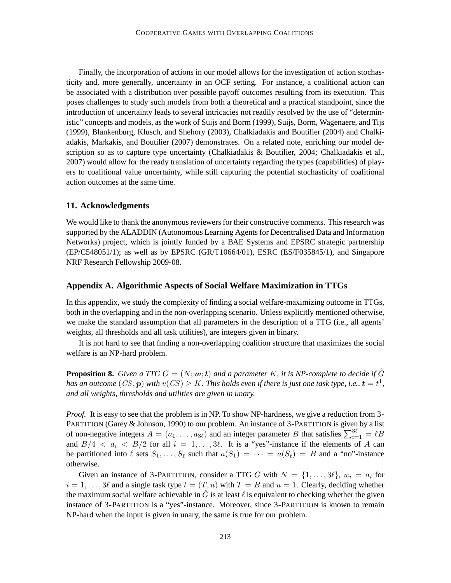Finally, the incorporation of actions in our model allows for the investigation of action stochasticity and, more generally, uncertainty in an OCF setting. For instance, a coalitional action can be associated with a distribution over possible payoff outcomes resulting from its execution. This poses challenges to study such models from both a theoretical and a practical standpoint, since the introduction of uncertainty leads to several intricacies not readily resolved by the use of "deterministic" concepts and models, as the work of Suijs and Borm (1999), Suijs, Borm, Wagenaere, and Tijs (1999), Blankenburg, Klusch, and Shehory (2003), Chalkiadakis and Boutilier (2004) and Chalkiadakis, Markakis, and Boutilier (2007) demonstrates. On a related note, enriching our model description so as to capture type uncertainty (Chalkiadakis & Boutilier, 2004; Chalkiadakis et al., 2007) would allow for the ready translation of uncertainty regarding the types (capabilities) of players to coalitional value uncertainty, while still capturing the potential stochasticity of coalitional action outcomes at the same time.

# **11. Acknowledgments**

We would like to thank the anonymous reviewers for their constructive comments. This research was supported by the ALADDIN (Autonomous Learning Agents for Decentralised Data and Information Networks) project, which is jointly funded by a BAE Systems and EPSRC strategic partnership (EP/C548051/1); as well as by EPSRC (GR/T10664/01), ESRC (ES/F035845/1), and Singapore NRF Research Fellowship 2009-08.

### **Appendix A. Algorithmic Aspects of Social Welfare Maximization in TTGs**

In this appendix, we study the complexity of finding a social welfare-maximizing outcome in TTGs, both in the overlapping and in the non-overlapping scenario. Unless explicitly mentioned otherwise, we make the standard assumption that all parameters in the description of a TTG (i.e., all agents' weights, all thresholds and all task utilities), are integers given in binary.

It is not hard to see that finding a non-overlapping coalition structure that maximizes the social welfare is an NP-hard problem.

**Proposition 8.** *Given a TTG*  $G = (N; w; t)$  *and a parameter* K, it is NP-complete to decide if  $\hat{G}$ has an outcome  $(CS, \boldsymbol{p})$  with  $v(CS) \geq K.$  This holds even if there is just one task type, i.e.,  $\boldsymbol{t} = t^1,$ *and all weights, thresholds and utilities are given in unary.*

*Proof.* It is easy to see that the problem is in NP. To show NP-hardness, we give a reduction from 3- PARTITION (Garey & Johnson, 1990) to our problem. An instance of 3-PARTITION is given by a list of non-negative integers  $A = (a_1, \ldots, a_{3\ell})$  and an integer parameter B that satisfies  $\sum_{i=1}^{3\ell} = \ell B$ and  $B/4 < a_i < B/2$  for all  $i = 1, ..., 3\ell$ . It is a "yes"-instance if the elements of A can be partitioned into  $\ell$  sets  $S_1, \ldots, S_\ell$  such that  $a(S_1) = \cdots = a(S_\ell) = B$  and a "no"-instance otherwise.

Given an instance of 3-PARTITION, consider a TTG G with  $N = \{1, \ldots, 3\ell\}, w_i = a_i$  for  $i = 1, \ldots, 3\ell$  and a single task type  $t = (T, u)$  with  $T = B$  and  $u = 1$ . Clearly, deciding whether the maximum social welfare achievable in  $\hat{G}$  is at least  $\ell$  is equivalent to checking whether the given instance of 3-PARTITION is a "yes"-instance. Moreover, since 3-PARTITION is known to remain NP-hard when the input is given in unary, the same is true for our problem.  $\Box$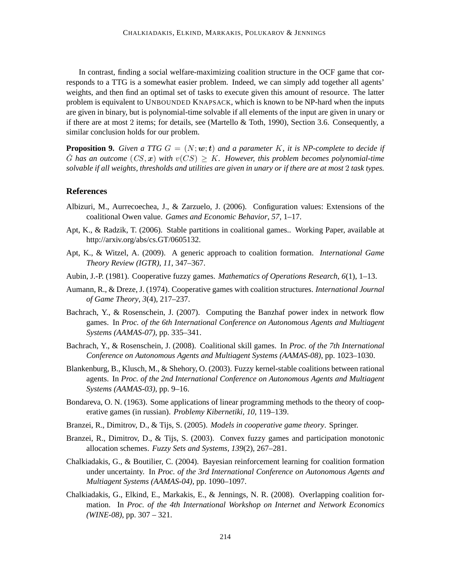In contrast, finding a social welfare-maximizing coalition structure in the OCF game that corresponds to a TTG is a somewhat easier problem. Indeed, we can simply add together all agents' weights, and then find an optimal set of tasks to execute given this amount of resource. The latter problem is equivalent to UNBOUNDED KNAPSACK, which is known to be NP-hard when the inputs are given in binary, but is polynomial-time solvable if all elements of the input are given in unary or if there are at most 2 items; for details, see (Martello & Toth, 1990), Section 3.6. Consequently, a similar conclusion holds for our problem.

**Proposition 9.** *Given a TTG*  $G = (N; w; t)$  *and a parameter* K, *it is NP-complete to decide if*  $\tilde{G}$  has an outcome  $(CS, x)$  with  $v(CS) \geq K$ . However, this problem becomes polynomial-time *solvable if all weights, thresholds and utilities are given in unary or if there are at most* 2 *task types.*

# **References**

- Albizuri, M., Aurrecoechea, J., & Zarzuelo, J. (2006). Configuration values: Extensions of the coalitional Owen value. *Games and Economic Behavior*, *57*, 1–17.
- Apt, K., & Radzik, T. (2006). Stable partitions in coalitional games.. Working Paper, available at http://arxiv.org/abs/cs.GT/0605132.
- Apt, K., & Witzel, A. (2009). A generic approach to coalition formation. *International Game Theory Review (IGTR)*, *11*, 347–367.
- Aubin, J.-P. (1981). Cooperative fuzzy games. *Mathematics of Operations Research*, *6*(1), 1–13.
- Aumann, R., & Dreze, J. (1974). Cooperative games with coalition structures. *International Journal of Game Theory*, *3*(4), 217–237.
- Bachrach, Y., & Rosenschein, J. (2007). Computing the Banzhaf power index in network flow games. In *Proc. of the 6th International Conference on Autonomous Agents and Multiagent Systems (AAMAS-07)*, pp. 335–341.
- Bachrach, Y., & Rosenschein, J. (2008). Coalitional skill games. In *Proc. of the 7th International Conference on Autonomous Agents and Multiagent Systems (AAMAS-08)*, pp. 1023–1030.
- Blankenburg, B., Klusch, M., & Shehory, O. (2003). Fuzzy kernel-stable coalitions between rational agents. In *Proc. of the 2nd International Conference on Autonomous Agents and Multiagent Systems (AAMAS-03)*, pp. 9–16.
- Bondareva, O. N. (1963). Some applications of linear programming methods to the theory of cooperative games (in russian). *Problemy Kibernetiki*, *10*, 119–139.
- Branzei, R., Dimitrov, D., & Tijs, S. (2005). *Models in cooperative game theory*. Springer.
- Branzei, R., Dimitrov, D., & Tijs, S. (2003). Convex fuzzy games and participation monotonic allocation schemes. *Fuzzy Sets and Systems*, *139*(2), 267–281.
- Chalkiadakis, G., & Boutilier, C. (2004). Bayesian reinforcement learning for coalition formation under uncertainty. In *Proc. of the 3rd International Conference on Autonomous Agents and Multiagent Systems (AAMAS-04)*, pp. 1090–1097.
- Chalkiadakis, G., Elkind, E., Markakis, E., & Jennings, N. R. (2008). Overlapping coalition formation. In *Proc. of the 4th International Workshop on Internet and Network Economics (WINE-08)*, pp. 307 – 321.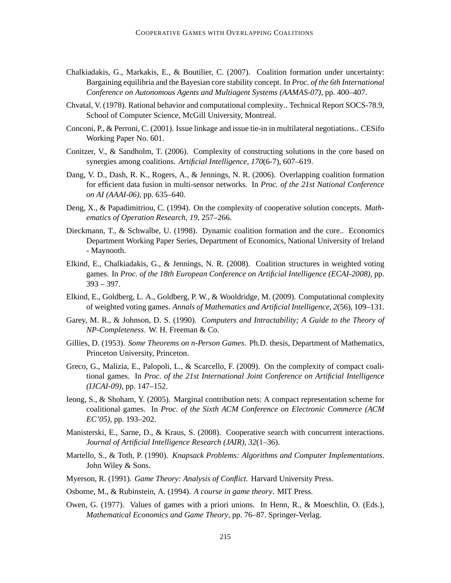- Chalkiadakis, G., Markakis, E., & Boutilier, C. (2007). Coalition formation under uncertainty: Bargaining equilibria and the Bayesian core stability concept. In *Proc. of the 6th International Conference on Autonomous Agents and Multiagent Systems (AAMAS-07)*, pp. 400–407.
- Chvatal, V. (1978). Rational behavior and computational complexity.. Technical Report SOCS-78.9, School of Computer Science, McGill University, Montreal.
- Conconi, P., & Perroni, C. (2001). Issue linkage and issue tie-in in multilateral negotiations.. CESifo Working Paper No. 601.
- Conitzer, V., & Sandholm, T. (2006). Complexity of constructing solutions in the core based on synergies among coalitions. *Artificial Intelligence*, *170*(6-7), 607–619.
- Dang, V. D., Dash, R. K., Rogers, A., & Jennings, N. R. (2006). Overlapping coalition formation for efficient data fusion in multi-sensor networks. In *Proc. of the 21st National Conference on AI (AAAI-06)*, pp. 635–640.
- Deng, X., & Papadimitriou, C. (1994). On the complexity of cooperative solution concepts. *Mathematics of Operation Research*, *19*, 257–266.
- Dieckmann, T., & Schwalbe, U. (1998). Dynamic coalition formation and the core.. Economics Department Working Paper Series, Department of Economics, National University of Ireland - Maynooth.
- Elkind, E., Chalkiadakis, G., & Jennings, N. R. (2008). Coalition structures in weighted voting games. In *Proc. of the 18th European Conference on Artificial Intelligence (ECAI-2008)*, pp. 393 – 397.
- Elkind, E., Goldberg, L. A., Goldberg, P. W., & Wooldridge, M. (2009). Computational complexity of weighted voting games. *Annals of Mathematics and Artificial Intelligence*, *2*(56), 109–131.
- Garey, M. R., & Johnson, D. S. (1990). *Computers and Intractability; A Guide to the Theory of NP-Completeness*. W. H. Freeman & Co.
- Gillies, D. (1953). *Some Theorems on n-Person Games*. Ph.D. thesis, Department of Mathematics, Princeton University, Princeton.
- Greco, G., Malizia, E., Palopoli, L., & Scarcello, F. (2009). On the complexity of compact coalitional games. In *Proc. of the 21st International Joint Conference on Artificial Intelligence (IJCAI-09)*, pp. 147–152.
- Ieong, S., & Shoham, Y. (2005). Marginal contribution nets: A compact representation scheme for coalitional games. In *Proc. of the Sixth ACM Conference on Electronic Commerce (ACM EC'05)*, pp. 193–202.
- Manisterski, E., Sarne, D., & Kraus, S. (2008). Cooperative search with concurrent interactions. *Journal of Artificial Intelligence Research (JAIR)*, *32*(1–36).
- Martello, S., & Toth, P. (1990). *Knapsack Problems: Algorithms and Computer Implementations*. John Wiley & Sons.
- Myerson, R. (1991). *Game Theory: Analysis of Conflict*. Harvard University Press.
- Osborne, M., & Rubinstein, A. (1994). *A course in game theory*. MIT Press.
- Owen, G. (1977). Values of games with a priori unions. In Henn, R., & Moeschlin, O. (Eds.), *Mathematical Economics and Game Theory*, pp. 76–87. Springer-Verlag.